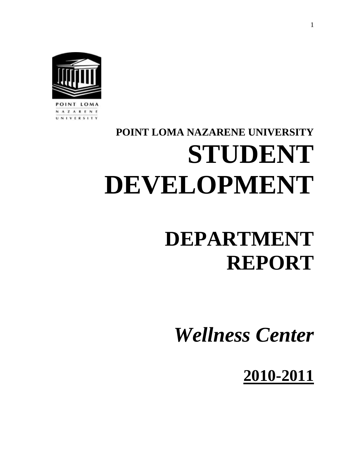

INT LOMA **AZARENE** VERSITY

# **POINT LOMA NAZARENE UNIVERSITY STUDENT DEVELOPMENT**

# **DEPARTMENT REPORT**

*Wellness Center*

**2010-2011**

1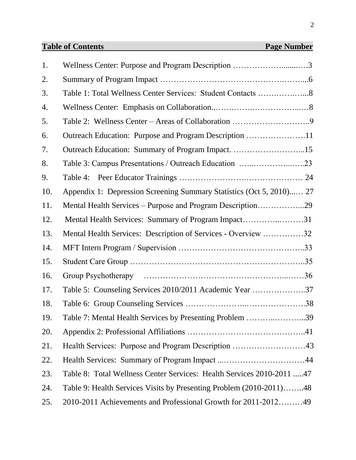# **Table of Contents** Page Number

| 1.  | Wellness Center: Purpose and Program Description 3                    |  |
|-----|-----------------------------------------------------------------------|--|
| 2.  |                                                                       |  |
| 3.  | Table 1: Total Wellness Center Services: Student Contacts 8           |  |
| 4.  |                                                                       |  |
| 5.  |                                                                       |  |
| 6.  | Outreach Education: Purpose and Program Description 11                |  |
| 7.  | Outreach Education: Summary of Program Impact. 15                     |  |
| 8.  |                                                                       |  |
| 9.  |                                                                       |  |
| 10. | Appendix 1: Depression Screening Summary Statistics (Oct 5, 2010) 27  |  |
| 11. | Mental Health Services – Purpose and Program Description29            |  |
| 12. | Mental Health Services: Summary of Program Impact31                   |  |
| 13. | Mental Health Services: Description of Services - Overview 32         |  |
| 14. |                                                                       |  |
| 15. |                                                                       |  |
| 16. |                                                                       |  |
| 17. | Table 5: Counseling Services 2010/2011 Academic Year 37               |  |
| 18. |                                                                       |  |
| 19. | Table 7: Mental Health Services by Presenting Problem 39              |  |
| 20. |                                                                       |  |
| 21. |                                                                       |  |
| 22. |                                                                       |  |
| 23. | Table 8: Total Wellness Center Services: Health Services 2010-2011 47 |  |
| 24. | Table 9: Health Services Visits by Presenting Problem (2010-2011)48   |  |
| 25. | 2010-2011 Achievements and Professional Growth for 2011-201249        |  |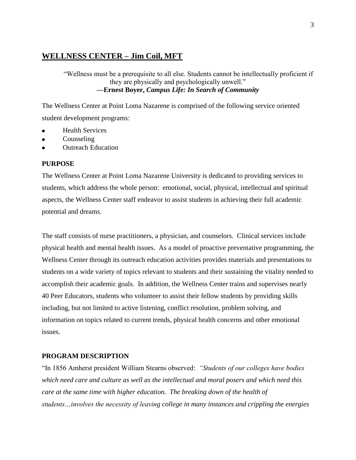# **WELLNESS CENTER – Jim Coil, MFT**

"Wellness must be a prerequisite to all else. Students cannot be intellectually proficient if they are physically and psychologically unwell." **—Ernest Boyer,** *Campus Life: In Search of Community*

The Wellness Center at Point Loma Nazarene is comprised of the following service oriented student development programs:

- Health Services
- Counseling  $\bullet$
- Outreach Education

#### **PURPOSE**

The Wellness Center at Point Loma Nazarene University is dedicated to providing services to students, which address the whole person: emotional, social, physical, intellectual and spiritual aspects, the Wellness Center staff endeavor to assist students in achieving their full academic potential and dreams.

The staff consists of nurse practitioners, a physician, and counselors. Clinical services include physical health and mental health issues. As a model of proactive preventative programming, the Wellness Center through its outreach education activities provides materials and presentations to students on a wide variety of topics relevant to students and their sustaining the vitality needed to accomplish their academic goals. In addition, the Wellness Center trains and supervises nearly 40 Peer Educators, students who volunteer to assist their fellow students by providing skills including, but not limited to active listening, conflict resolution, problem solving, and information on topics related to current trends, physical health concerns and other emotional issues.

#### **PROGRAM DESCRIPTION**

"In 1856 Amherst president William Stearns observed: *"Students of our colleges have bodies which need care and culture as well as the intellectual and moral posers and which need this care at the same time with higher education. The breaking down of the health of students…involves the necessity of leaving college in many instances and crippling the energies*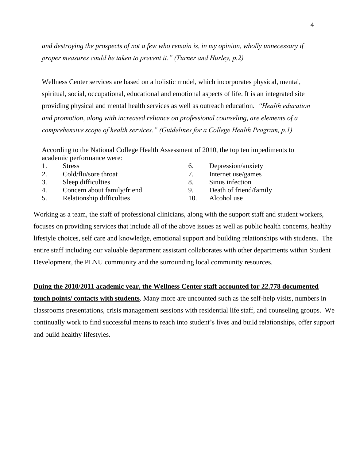*and destroying the prospects of not a few who remain is, in my opinion, wholly unnecessary if proper measures could be taken to prevent it." (Turner and Hurley, p.2)*

Wellness Center services are based on a holistic model, which incorporates physical, mental, spiritual, social, occupational, educational and emotional aspects of life. It is an integrated site providing physical and mental health services as well as outreach education. *"Health education and promotion, along with increased reliance on professional counseling, are elements of a comprehensive scope of health services." (Guidelines for a College Health Program, p.1)*

According to the National College Health Assessment of 2010, the top ten impediments to academic performance were:

| <b>Stress</b>        |
|----------------------|
| Cold/flu/sore throat |

- 3. Sleep difficulties
- 4. Concern about family/friend
- 5. Relationship difficulties
- 6. Depression/anxiety 7. Internet use/games 8. Sinus infection 9. Death of friend/family
- 10. Alcohol use

Working as a team, the staff of professional clinicians, along with the support staff and student workers, focuses on providing services that include all of the above issues as well as public health concerns, healthy lifestyle choices, self care and knowledge, emotional support and building relationships with students. The entire staff including our valuable department assistant collaborates with other departments within Student Development, the PLNU community and the surrounding local community resources.

#### **Duing the 2010/2011 academic year, the Wellness Center staff accounted for 22.778 documented**

**touch points/ contacts with students**. Many more are uncounted such as the self-help visits, numbers in classrooms presentations, crisis management sessions with residential life staff, and counseling groups. We continually work to find successful means to reach into student's lives and build relationships, offer support and build healthy lifestyles.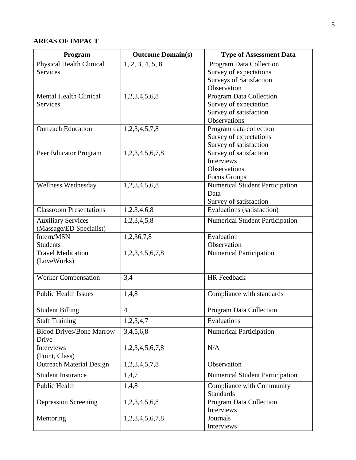# **AREAS OF IMPACT**

| Program                         | <b>Outcome Domain(s)</b> | <b>Type of Assessment Data</b>                |
|---------------------------------|--------------------------|-----------------------------------------------|
| Physical Health Clinical        | 1, 2, 3, 4, 5, 8         | Program Data Collection                       |
| Services                        |                          | Survey of expectations                        |
|                                 |                          | <b>Surveys of Satisfaction</b>                |
|                                 |                          | Observation                                   |
| <b>Mental Health Clinical</b>   | 1,2,3,4,5,6,8            | <b>Program Data Collection</b>                |
| <b>Services</b>                 |                          | Survey of expectation                         |
|                                 |                          | Survey of satisfaction<br><b>Observations</b> |
| <b>Outreach Education</b>       | 1,2,3,4,5,7,8            | Program data collection                       |
|                                 |                          | Survey of expectations                        |
|                                 |                          | Survey of satisfaction                        |
| Peer Educator Program           | 1,2,3,4,5,6,7,8          | Survey of satisfaction                        |
|                                 |                          | Interviews                                    |
|                                 |                          | Observations                                  |
|                                 |                          | <b>Focus Groups</b>                           |
| Wellness Wednesday              | 1,2,3,4,5,6,8            | <b>Numerical Student Participation</b>        |
|                                 |                          | Data                                          |
|                                 |                          | Survey of satisfaction                        |
| <b>Classroom Presentations</b>  | 1.2.3.4.6.8              | Evaluations (satisfaction)                    |
| <b>Auxiliary Services</b>       | 1,2,3,4,5,8              | <b>Numerical Student Participation</b>        |
| (Massage/ED Specialist)         |                          |                                               |
| Intern/MSN                      | 1,2,36,7,8               | Evaluation                                    |
| <b>Students</b>                 |                          | Observation                                   |
| <b>Travel Medication</b>        | 1,2,3,4,5,6,7,8          | <b>Numerical Participation</b>                |
| (LoveWorks)                     |                          |                                               |
| <b>Worker Compensation</b>      | 3,4                      | <b>HR</b> Feedback                            |
|                                 |                          |                                               |
| <b>Public Health Issues</b>     | 1,4,8                    | Compliance with standards                     |
|                                 |                          |                                               |
| <b>Student Billing</b>          | 4                        | <b>Program Data Collection</b>                |
| <b>Staff Training</b>           | 1,2,3,4,7                | Evaluations                                   |
| <b>Blood Drives/Bone Marrow</b> | 3,4,5,6,8                | <b>Numerical Participation</b>                |
| Drive                           |                          |                                               |
| Interviews                      | 1,2,3,4,5,6,7,8          | N/A                                           |
| (Point, Class)                  |                          |                                               |
| <b>Outreach Material Design</b> | 1,2,3,4,5,7,8            | Observation                                   |
| <b>Student Insurance</b>        | 1,4,7                    | <b>Numerical Student Participation</b>        |
| <b>Public Health</b>            | 1,4,8                    | <b>Compliance with Community</b>              |
|                                 |                          | <b>Standards</b>                              |
| Depression Screening            | 1,2,3,4,5,6,8            | Program Data Collection                       |
|                                 |                          | Interviews                                    |
| Mentoring                       | 1,2,3,4,5,6,7,8          | Journals                                      |
|                                 |                          | Interviews                                    |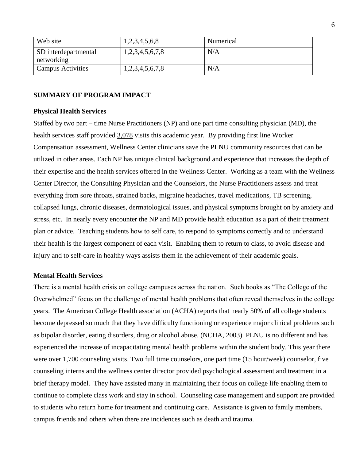| Web site                           | 1,2,3,4,5,6,8          | Numerical |
|------------------------------------|------------------------|-----------|
| SD interdepartmental<br>networking | 1, 2, 3, 4, 5, 6, 7, 8 | N/A       |
| Campus Activities                  | 1,2,3,4,5,6,7,8        | N/A       |

#### **SUMMARY OF PROGRAM IMPACT**

#### **Physical Health Services**

Staffed by two part – time Nurse Practitioners (NP) and one part time consulting physician (MD), the health services staff provided 3,078 visits this academic year. By providing first line Worker Compensation assessment, Wellness Center clinicians save the PLNU community resources that can be utilized in other areas. Each NP has unique clinical background and experience that increases the depth of their expertise and the health services offered in the Wellness Center. Working as a team with the Wellness Center Director, the Consulting Physician and the Counselors, the Nurse Practitioners assess and treat everything from sore throats, strained backs, migraine headaches, travel medications, TB screening, collapsed lungs, chronic diseases, dermatological issues, and physical symptoms brought on by anxiety and stress, etc. In nearly every encounter the NP and MD provide health education as a part of their treatment plan or advice. Teaching students how to self care, to respond to symptoms correctly and to understand their health is the largest component of each visit. Enabling them to return to class, to avoid disease and injury and to self-care in healthy ways assists them in the achievement of their academic goals.

#### **Mental Health Services**

There is a mental health crisis on college campuses across the nation. Such books as "The College of the Overwhelmed" focus on the challenge of mental health problems that often reveal themselves in the college years. The American College Health association (ACHA) reports that nearly 50% of all college students become depressed so much that they have difficulty functioning or experience major clinical problems such as bipolar disorder, eating disorders, drug or alcohol abuse. (NCHA, 2003) PLNU is no different and has experienced the increase of incapacitating mental health problems within the student body. This year there were over 1,700 counseling visits. Two full time counselors, one part time (15 hour/week) counselor, five counseling interns and the wellness center director provided psychological assessment and treatment in a brief therapy model. They have assisted many in maintaining their focus on college life enabling them to continue to complete class work and stay in school. Counseling case management and support are provided to students who return home for treatment and continuing care. Assistance is given to family members, campus friends and others when there are incidences such as death and trauma.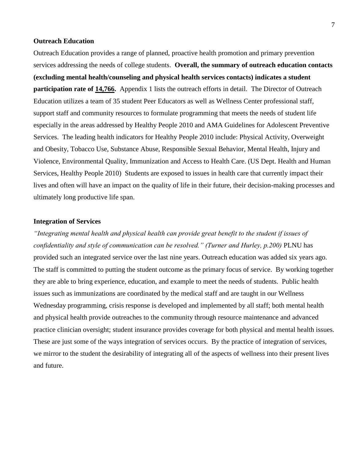#### **Outreach Education**

Outreach Education provides a range of planned, proactive health promotion and primary prevention services addressing the needs of college students. **Overall, the summary of outreach education contacts (excluding mental health/counseling and physical health services contacts) indicates a student participation rate of 14,766.** Appendix 1 lists the outreach efforts in detail. The Director of Outreach Education utilizes a team of 35 student Peer Educators as well as Wellness Center professional staff, support staff and community resources to formulate programming that meets the needs of student life especially in the areas addressed by Healthy People 2010 and AMA Guidelines for Adolescent Preventive Services. The leading health indicators for Healthy People 2010 include: Physical Activity, Overweight and Obesity, Tobacco Use, Substance Abuse, Responsible Sexual Behavior, Mental Health, Injury and Violence, Environmental Quality, Immunization and Access to Health Care. (US Dept. Health and Human Services, Healthy People 2010) Students are exposed to issues in health care that currently impact their lives and often will have an impact on the quality of life in their future, their decision-making processes and ultimately long productive life span.

#### **Integration of Services**

*"Integrating mental health and physical health can provide great benefit to the student if issues of confidentiality and style of communication can be resolved." (Turner and Hurley, p.200)* PLNU has provided such an integrated service over the last nine years. Outreach education was added six years ago. The staff is committed to putting the student outcome as the primary focus of service. By working together they are able to bring experience, education, and example to meet the needs of students. Public health issues such as immunizations are coordinated by the medical staff and are taught in our Wellness Wednesday programming, crisis response is developed and implemented by all staff; both mental health and physical health provide outreaches to the community through resource maintenance and advanced practice clinician oversight; student insurance provides coverage for both physical and mental health issues. These are just some of the ways integration of services occurs. By the practice of integration of services, we mirror to the student the desirability of integrating all of the aspects of wellness into their present lives and future.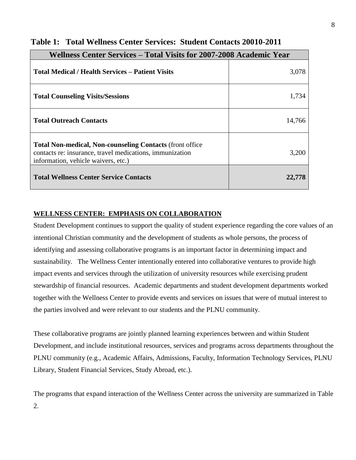| Wellness Center Services – Total Visits for 2007-2008 Academic Year                                                                                                 |        |
|---------------------------------------------------------------------------------------------------------------------------------------------------------------------|--------|
| Total Medical / Health Services – Patient Visits                                                                                                                    | 3,078  |
| <b>Total Counseling Visits/Sessions</b>                                                                                                                             | 1,734  |
| <b>Total Outreach Contacts</b>                                                                                                                                      | 14,766 |
| <b>Total Non-medical, Non-counseling Contacts (front office)</b><br>contacts re: insurance, travel medications, immunization<br>information, vehicle waivers, etc.) | 3,200  |
| <b>Total Wellness Center Service Contacts</b>                                                                                                                       | 22,778 |

# **Table 1: Total Wellness Center Services: Student Contacts 20010-2011**

# **WELLNESS CENTER: EMPHASIS ON COLLABORATION**

Student Development continues to support the quality of student experience regarding the core values of an intentional Christian community and the development of students as whole persons, the process of identifying and assessing collaborative programs is an important factor in determining impact and sustainability. The Wellness Center intentionally entered into collaborative ventures to provide high impact events and services through the utilization of university resources while exercising prudent stewardship of financial resources. Academic departments and student development departments worked together with the Wellness Center to provide events and services on issues that were of mutual interest to the parties involved and were relevant to our students and the PLNU community.

These collaborative programs are jointly planned learning experiences between and within Student Development, and include institutional resources, services and programs across departments throughout the PLNU community (e.g., Academic Affairs, Admissions, Faculty, Information Technology Services, PLNU Library, Student Financial Services, Study Abroad, etc.).

The programs that expand interaction of the Wellness Center across the university are summarized in Table 2.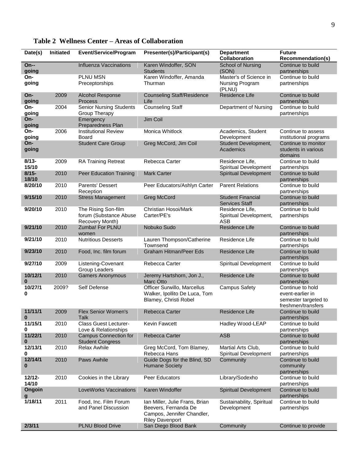| Date(s)            | Initiated | <b>Event/Service/Program</b>                                     | Presenter(s)/Participant(s)                                                                                    | <b>Department</b><br><b>Collaboration</b>               | <b>Future</b><br><b>Recommendation(s)</b>                                          |
|--------------------|-----------|------------------------------------------------------------------|----------------------------------------------------------------------------------------------------------------|---------------------------------------------------------|------------------------------------------------------------------------------------|
| $On-$<br>going     |           | <b>Influenza Vaccinations</b>                                    | Karen Windoffer, SON<br><b>Students</b>                                                                        | <b>School of Nursing</b><br>(SON)                       | Continue to build<br>partnerships                                                  |
| On-<br>going       |           | <b>PLNU MSN</b><br>Preceptorships                                | Karen Windoffer, Amanda<br>Thurman                                                                             | Master's of Science in<br>Nursing Program<br>(PLNU)     | Continue to build<br>partnerships                                                  |
| On-<br>going       | 2009      | <b>Alcohol Response</b><br>Process                               | <b>Counseling Staff/Residence</b><br>Life                                                                      | Residence Life                                          | Continue to build<br>partnerships                                                  |
| On-<br>going       | 2004      | <b>Senior Nursing Students</b><br><b>Group Therapy</b>           | <b>Counseling Staff</b>                                                                                        | Department of Nursing                                   | Continue to build<br>partnerships                                                  |
| On-<br>going       |           | Emergency<br>Preparedness Plan                                   | Jim Coil                                                                                                       |                                                         |                                                                                    |
| On-<br>going       | 2006      | <b>Institutional Review</b><br>Board                             | Monica Whitlock                                                                                                | Academics, Student<br>Development                       | Continue to assess<br>institutional programs                                       |
| On-<br>going       |           | <b>Student Care Group</b>                                        | Greg McCord, Jim Coil                                                                                          | Student Development,<br>Academics                       | Continue to monitor<br>students in various<br>domains                              |
| $8/13 -$<br>15/10  | 2009      | <b>RA Training Retreat</b>                                       | Rebecca Carter                                                                                                 | Residence Life,<br>Spiritual Development                | Continue to build<br>partnerships                                                  |
| $8/15 -$<br>18/10  | 2010      | Peer Education Training                                          | <b>Mark Carter</b>                                                                                             | <b>Spiritual Development</b>                            | Continue to build<br>partnerships                                                  |
| 8/20/10            | 2010      | Parents' Dessert<br>Reception                                    | Peer Educators/Ashlyn Carter                                                                                   | <b>Parent Relations</b>                                 | Continue to build<br>partnerships                                                  |
| 9/15/10            | 2010      | <b>Stress Management</b>                                         | <b>Greg McCord</b>                                                                                             | <b>Student Financial</b><br><b>Services Staff</b>       | Continue to build<br>partnerships                                                  |
| 9/20/10            | 2010      | The Rising Son-film<br>forum (Substance Abuse<br>Recovery Month) | Christian Hosoi/Mark<br>Carter/PE's                                                                            | Residence Life,<br>Spiritual Development,<br><b>ASB</b> | Continue to build<br>partnerships                                                  |
| 9/21/10            | 2010      | Zumba! For PLNU<br>women                                         | Nobuko Sudo                                                                                                    | Residence Life                                          | Continue to build<br>partnerships                                                  |
| 9/21/10            | 2010      | <b>Nutritious Desserts</b>                                       | Lauren Thompson/Catherine<br>Townsend                                                                          | Residence Life                                          | Continue to build<br>partnerships                                                  |
| 9/23/10            | 2010      | Food, Inc. film forum                                            | <b>Graham Hitman/Peer Eds</b>                                                                                  | Residence Life                                          | Continue to build<br>partnerships                                                  |
| 9/27/10            | 2009      | Listening-Covenant<br>Group Leaders                              | Rebecca Carter                                                                                                 | Spiritual Development                                   | Continue to build<br>partnerships                                                  |
| 10/12/1<br>0       | 2010      | <b>Gamers Anonymous</b>                                          | Jeremy Hartshorn, Jon J.,<br>Marc Otto                                                                         | Residence Life                                          | Continue to build<br>partnerships                                                  |
| 10/27/1<br>0       | 2009?     | Self Defense                                                     | Officer Surwillo, Marcellus<br>Walker, Ipollito De Luca, Tom<br>Blamey, Christi Robel                          | <b>Campus Safety</b>                                    | Continue to hold<br>event-earlier in<br>semester targeted to<br>freshmen/transfers |
| 11/11/1<br>0       | 2009      | <b>Flex Senior Women's</b><br><b>Talk</b>                        | Rebecca Carter                                                                                                 | Residence Life                                          | Continue to build<br>partnerships                                                  |
| 11/15/1<br>0       | 2010      | <b>Class Guest Lecturer-</b><br>Love & Relationships             | Kevin Fawcett                                                                                                  | Hadley Wood-LEAP                                        | Continue to build<br>partnerships                                                  |
| 11/22/1<br>0       | 2010      | <b>Campus Connection for</b><br><b>Student Congress</b>          | Rebecca Carter                                                                                                 | <b>ASB</b>                                              | Continue to build<br>partnerships                                                  |
| 12/13/1<br>0       | 2010      | Relax Awhile                                                     | Greg McCord, Tom Blamey,<br>Rebecca Hans                                                                       | Martial Arts Club,<br>Spiritual Development             | Continue to build<br>partnerships                                                  |
| 12/14/1<br>0       | 2010      | Paws Awhile                                                      | Guide Dogs for the Blind, SD<br><b>Humane Society</b>                                                          | Community                                               | Continue to build<br>community<br>partnerships                                     |
| $12/12 -$<br>14/10 | 2010      | Cookies in the Library                                           | Peer Educators                                                                                                 | Library/Sodexho                                         | Continue to build<br>partnerships                                                  |
| Ongoin<br>g        |           | LoveWorks Vaccinations                                           | Karen Windoffer                                                                                                | Spiritual Development                                   | Continue to build<br>partnerships                                                  |
| 1/18/11            | 2011      | Food, Inc. Film Forum<br>and Panel Discussion                    | Ian Miller, Julie Frans, Brian<br>Beevers, Fernanda De<br>Campos, Jennifer Chandler,<br><b>Riley Davenport</b> | Sustainability, Spiritual<br>Development                | Continue to build<br>partnerships                                                  |
| 2/3/11             |           | <b>PLNU Blood Drive</b>                                          | San Diego Blood Bank                                                                                           | Community                                               | Continue to provide                                                                |

# **Table 2 Wellness Center – Areas of Collaboration**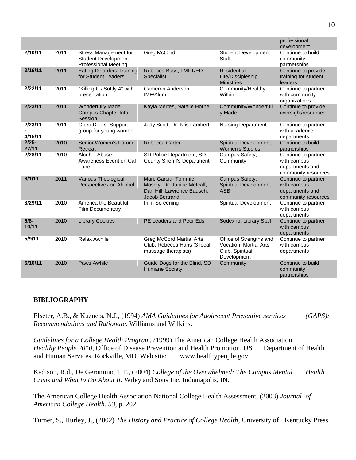|                    |      |                                                                                    |                                                                                                    |                                                                                     | professional<br>development                                                  |
|--------------------|------|------------------------------------------------------------------------------------|----------------------------------------------------------------------------------------------------|-------------------------------------------------------------------------------------|------------------------------------------------------------------------------|
| 2/10/11            | 2011 | Stress Management for<br><b>Student Development</b><br><b>Professional Meeting</b> | Greg McCord                                                                                        | <b>Student Development</b><br><b>Staff</b>                                          | Continue to build<br>community<br>partnerships                               |
| 2/16/11            | 2011 | <b>Eating Disorders Training</b><br>for Student Leaders                            | Rebecca Bass, LMFT/ED<br><b>Specialist</b>                                                         | <b>Residential</b><br>Life/Discipleship<br><b>Ministries</b>                        | Continue to provide<br>training for student<br>leaders                       |
| 2/22/11            | 2011 | "Killing Us Softly 4" with<br>presentation                                         | Cameron Anderson,<br>IMF/Alum                                                                      | Community/Healthy<br>Within                                                         | Continue to partner<br>with community<br>organizations                       |
| 2/23/11            | 2011 | <b>Wonderfully Made</b><br>Campus Chapter Info<br>Session                          | Kayla Mertes, Natalie Horne                                                                        | Community/Wonderfull<br>y Made                                                      | Continue to provide<br>oversight/resources                                   |
| 2/23/11<br>4/15/11 | 2011 | Open Doors: Support<br>group for young women                                       | Judy Scott, Dr. Kris Lambert                                                                       | <b>Nursing Department</b>                                                           | Continue to partner<br>with academic<br>departments                          |
| $2/25 -$<br>27/11  | 2010 | Senior Women's Forum<br>Retreat                                                    | Rebecca Carter                                                                                     | Spiritual Development,<br><b>Women's Studies</b>                                    | Continue to build<br>partnerships                                            |
| 2/28/11            | 2010 | Alcohol Abuse<br>Awareness Event on Caf<br>Lane                                    | SD Police Department, SD<br><b>County Sheriff's Department</b>                                     | Campus Safety,<br>Community                                                         | Continue to partner<br>with campus<br>departments and<br>community resources |
| 3/1/11             | 2011 | Various Theological<br>Perspectives on Alcohol                                     | Marc Garcia, Tommie<br>Mosely, Dr. Janine Metcalf,<br>Dan Hill, Lawrence Bausch,<br>Jacob Bertrand | Campus Safety,<br>Spiritual Development,<br><b>ASB</b>                              | Continue to partner<br>with campus<br>departments and<br>community resources |
| 3/29/11            | 2010 | America the Beautiful<br><b>Film Documentary</b>                                   | Film Screening                                                                                     | Spiritual Development                                                               | Continue to partner<br>with campus<br>departments                            |
| $5/8 -$<br>10/11   | 2010 | <b>Library Cookies</b>                                                             | PE Leaders and Peer Eds                                                                            | Sodexho, Library Staff                                                              | Continue to partner<br>with campus<br>departments                            |
| 5/9/11             | 2010 | <b>Relax Awhile</b>                                                                | <b>Greg McCord, Martial Arts</b><br>Club, Rebecca Hans (3 local<br>massage therapists)             | Office of Strengths and<br>Vocation, Martial Arts<br>Club, Spiritual<br>Development | Continue to partner<br>with campus<br>departments                            |
| 5/10/11            | 2010 | Paws Awhile                                                                        | Guide Dogs for the Blind, SD<br><b>Humane Society</b>                                              | Community                                                                           | Continue to build<br>community<br>partnerships                               |

# **BIBLIOGRAPHY**

Elseter, A.B., & Kuznets, N.J., (1994) *AMA Guidelines for Adolescent Preventive services (GAPS): Recommendations and Rationale.* Williams and Wilkins.

*Guidelines for a College Health Program. (*1999) The American College Health Association. *Healthy People 2010*, Office of Disease Prevention and Health Promotion, US Department of Health and Human Services, Rockville, MD. Web site: www.healthypeople.gov.

Kadison, R.d., De Geronimo, T.F., (2004) *College of the Overwhelmed: The Campus Mental Health Crisis and What to Do About It*. Wiley and Sons Inc. Indianapolis, IN.

The American College Health Association National College Health Assessment, (2003) *Journal of American College Health, 53,* p. 202.

Turner, S., Hurley, J., (2002) *The History and Practice of College Health*, University of Kentucky Press.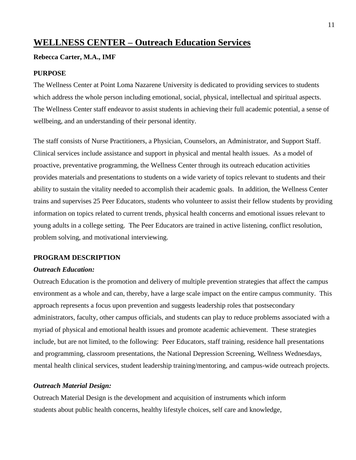# **WELLNESS CENTER – Outreach Education Services**

# **Rebecca Carter, M.A., IMF**

#### **PURPOSE**

The Wellness Center at Point Loma Nazarene University is dedicated to providing services to students which address the whole person including emotional, social, physical, intellectual and spiritual aspects. The Wellness Center staff endeavor to assist students in achieving their full academic potential, a sense of wellbeing, and an understanding of their personal identity.

The staff consists of Nurse Practitioners, a Physician, Counselors, an Administrator, and Support Staff. Clinical services include assistance and support in physical and mental health issues. As a model of proactive, preventative programming, the Wellness Center through its outreach education activities provides materials and presentations to students on a wide variety of topics relevant to students and their ability to sustain the vitality needed to accomplish their academic goals. In addition, the Wellness Center trains and supervises 25 Peer Educators, students who volunteer to assist their fellow students by providing information on topics related to current trends, physical health concerns and emotional issues relevant to young adults in a college setting. The Peer Educators are trained in active listening, conflict resolution, problem solving, and motivational interviewing.

#### **PROGRAM DESCRIPTION**

### *Outreach Education:*

Outreach Education is the promotion and delivery of multiple prevention strategies that affect the campus environment as a whole and can, thereby, have a large scale impact on the entire campus community. This approach represents a focus upon prevention and suggests leadership roles that postsecondary administrators, faculty, other campus officials, and students can play to reduce problems associated with a myriad of physical and emotional health issues and promote academic achievement. These strategies include, but are not limited, to the following: Peer Educators, staff training, residence hall presentations and programming, classroom presentations, the National Depression Screening, Wellness Wednesdays, mental health clinical services, student leadership training/mentoring, and campus-wide outreach projects.

#### *Outreach Material Design:*

Outreach Material Design is the development and acquisition of instruments which inform students about public health concerns, healthy lifestyle choices, self care and knowledge,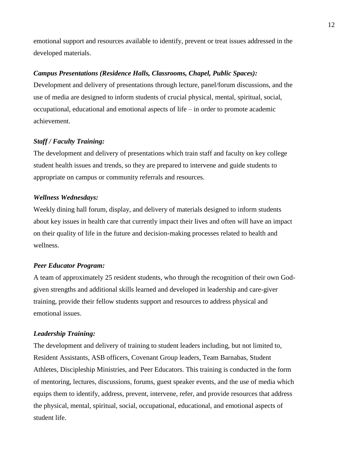emotional support and resources available to identify, prevent or treat issues addressed in the developed materials.

#### *Campus Presentations (Residence Halls, Classrooms, Chapel, Public Spaces):*

Development and delivery of presentations through lecture, panel/forum discussions, and the use of media are designed to inform students of crucial physical, mental, spiritual, social, occupational, educational and emotional aspects of life – in order to promote academic achievement.

#### *Staff / Faculty Training:*

The development and delivery of presentations which train staff and faculty on key college student health issues and trends, so they are prepared to intervene and guide students to appropriate on campus or community referrals and resources.

#### *Wellness Wednesdays:*

Weekly dining hall forum, display, and delivery of materials designed to inform students about key issues in health care that currently impact their lives and often will have an impact on their quality of life in the future and decision-making processes related to health and wellness.

#### *Peer Educator Program:*

A team of approximately 25 resident students, who through the recognition of their own Godgiven strengths and additional skills learned and developed in leadership and care-giver training, provide their fellow students support and resources to address physical and emotional issues.

#### *Leadership Training:*

The development and delivery of training to student leaders including, but not limited to, Resident Assistants, ASB officers, Covenant Group leaders, Team Barnabas, Student Athletes, Discipleship Ministries, and Peer Educators. This training is conducted in the form of mentoring, lectures, discussions, forums, guest speaker events, and the use of media which equips them to identify, address, prevent, intervene, refer, and provide resources that address the physical, mental, spiritual, social, occupational, educational, and emotional aspects of student life.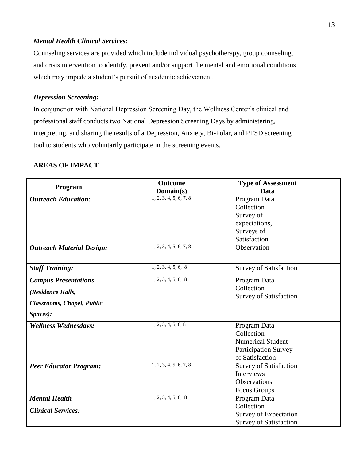# *Mental Health Clinical Services:*

Counseling services are provided which include individual psychotherapy, group counseling, and crisis intervention to identify, prevent and/or support the mental and emotional conditions which may impede a student's pursuit of academic achievement.

# *Depression Screening:*

In conjunction with National Depression Screening Day, the Wellness Center's clinical and professional staff conducts two National Depression Screening Days by administering, interpreting, and sharing the results of a Depression, Anxiety, Bi-Polar, and PTSD screening tool to students who voluntarily participate in the screening events.

| Program                          | <b>Outcome</b>         | <b>Type of Assessment</b>     |
|----------------------------------|------------------------|-------------------------------|
|                                  | Domain(s)              | Data                          |
| <b>Outreach Education:</b>       | 1, 2, 3, 4, 5, 6, 7, 8 | Program Data                  |
|                                  |                        | Collection                    |
|                                  |                        | Survey of                     |
|                                  |                        | expectations,                 |
|                                  |                        | Surveys of                    |
|                                  |                        | Satisfaction                  |
| <b>Outreach Material Design:</b> | 1, 2, 3, 4, 5, 6, 7, 8 | Observation                   |
|                                  |                        |                               |
| <b>Staff Training:</b>           | 1, 2, 3, 4, 5, 6, 8    | <b>Survey of Satisfaction</b> |
| <b>Campus Presentations</b>      | 1, 2, 3, 4, 5, 6, 8    | Program Data                  |
| (Residence Halls,                |                        | Collection                    |
|                                  |                        | <b>Survey of Satisfaction</b> |
| Classrooms, Chapel, Public       |                        |                               |
| Spaces):                         |                        |                               |
| <b>Wellness Wednesdays:</b>      | 1, 2, 3, 4, 5, 6, 8    | Program Data                  |
|                                  |                        | Collection                    |
|                                  |                        | <b>Numerical Student</b>      |
|                                  |                        | <b>Participation Survey</b>   |
|                                  |                        | of Satisfaction               |
| <b>Peer Educator Program:</b>    | 1, 2, 3, 4, 5, 6, 7, 8 | <b>Survey of Satisfaction</b> |
|                                  |                        | Interviews                    |
|                                  |                        | <b>Observations</b>           |
|                                  |                        | Focus Groups                  |
| <b>Mental Health</b>             | 1, 2, 3, 4, 5, 6, 8    | Program Data                  |
| <b>Clinical Services:</b>        |                        | Collection                    |
|                                  |                        | Survey of Expectation         |
|                                  |                        | <b>Survey of Satisfaction</b> |

# **AREAS OF IMPACT**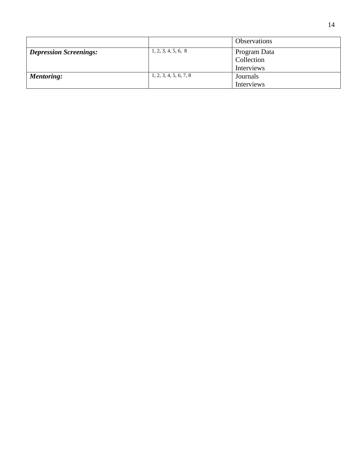|                               |                        | <b>Observations</b>        |
|-------------------------------|------------------------|----------------------------|
| <b>Depression Screenings:</b> | 1, 2, 3, 4, 5, 6, 8    | Program Data<br>Collection |
|                               |                        | Interviews                 |
| <b>Mentoring:</b>             | 1, 2, 3, 4, 5, 6, 7, 8 | Journals                   |
|                               |                        | Interviews                 |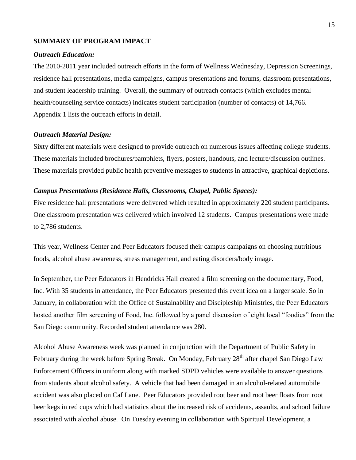#### **SUMMARY OF PROGRAM IMPACT**

#### *Outreach Education:*

The 2010-2011 year included outreach efforts in the form of Wellness Wednesday, Depression Screenings, residence hall presentations, media campaigns, campus presentations and forums, classroom presentations, and student leadership training. Overall, the summary of outreach contacts (which excludes mental health/counseling service contacts) indicates student participation (number of contacts) of 14,766. Appendix 1 lists the outreach efforts in detail.

#### *Outreach Material Design:*

Sixty different materials were designed to provide outreach on numerous issues affecting college students. These materials included brochures/pamphlets, flyers, posters, handouts, and lecture/discussion outlines. These materials provided public health preventive messages to students in attractive, graphical depictions.

#### *Campus Presentations (Residence Halls, Classrooms, Chapel, Public Spaces):*

Five residence hall presentations were delivered which resulted in approximately 220 student participants. One classroom presentation was delivered which involved 12 students. Campus presentations were made to 2,786 students.

This year, Wellness Center and Peer Educators focused their campus campaigns on choosing nutritious foods, alcohol abuse awareness, stress management, and eating disorders/body image.

In September, the Peer Educators in Hendricks Hall created a film screening on the documentary, Food, Inc. With 35 students in attendance, the Peer Educators presented this event idea on a larger scale. So in January, in collaboration with the Office of Sustainability and Discipleship Ministries, the Peer Educators hosted another film screening of Food, Inc. followed by a panel discussion of eight local "foodies" from the San Diego community. Recorded student attendance was 280.

Alcohol Abuse Awareness week was planned in conjunction with the Department of Public Safety in February during the week before Spring Break. On Monday, February 28<sup>th</sup> after chapel San Diego Law Enforcement Officers in uniform along with marked SDPD vehicles were available to answer questions from students about alcohol safety. A vehicle that had been damaged in an alcohol-related automobile accident was also placed on Caf Lane. Peer Educators provided root beer and root beer floats from root beer kegs in red cups which had statistics about the increased risk of accidents, assaults, and school failure associated with alcohol abuse. On Tuesday evening in collaboration with Spiritual Development, a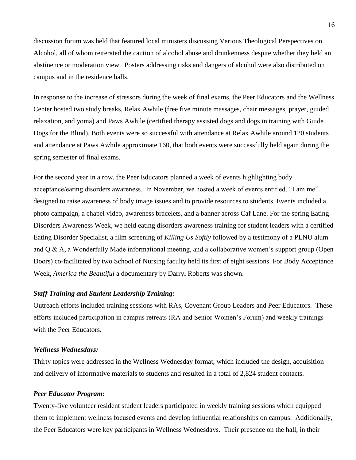discussion forum was held that featured local ministers discussing Various Theological Perspectives on Alcohol, all of whom reiterated the caution of alcohol abuse and drunkenness despite whether they held an abstinence or moderation view. Posters addressing risks and dangers of alcohol were also distributed on campus and in the residence halls.

In response to the increase of stressors during the week of final exams, the Peer Educators and the Wellness Center hosted two study breaks, Relax Awhile (free five minute massages, chair messages, prayer, guided relaxation, and yoma) and Paws Awhile (certified therapy assisted dogs and dogs in training with Guide Dogs for the Blind). Both events were so successful with attendance at Relax Awhile around 120 students and attendance at Paws Awhile approximate 160, that both events were successfully held again during the spring semester of final exams.

For the second year in a row, the Peer Educators planned a week of events highlighting body acceptance/eating disorders awareness. In November, we hosted a week of events entitled, "I am me" designed to raise awareness of body image issues and to provide resources to students. Events included a photo campaign, a chapel video, awareness bracelets, and a banner across Caf Lane. For the spring Eating Disorders Awareness Week, we held eating disorders awareness training for student leaders with a certified Eating Disorder Specialist, a film screening of *Killing Us Softly* followed by a testimony of a PLNU alum and Q & A, a Wonderfully Made informational meeting, and a collaborative women's support group (Open Doors) co-facilitated by two School of Nursing faculty held its first of eight sessions. For Body Acceptance Week, *America the Beautiful* a documentary by Darryl Roberts was shown.

#### *Staff Training and Student Leadership Training:*

Outreach efforts included training sessions with RAs, Covenant Group Leaders and Peer Educators. These efforts included participation in campus retreats (RA and Senior Women's Forum) and weekly trainings with the Peer Educators.

#### *Wellness Wednesdays:*

Thirty topics were addressed in the Wellness Wednesday format, which included the design, acquisition and delivery of informative materials to students and resulted in a total of 2,824 student contacts.

#### *Peer Educator Program:*

Twenty-five volunteer resident student leaders participated in weekly training sessions which equipped them to implement wellness focused events and develop influential relationships on campus. Additionally, the Peer Educators were key participants in Wellness Wednesdays. Their presence on the hall, in their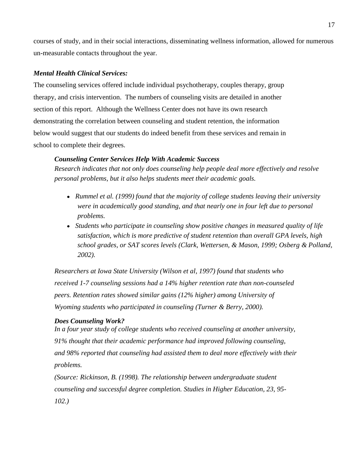courses of study, and in their social interactions, disseminating wellness information, allowed for numerous un-measurable contacts throughout the year.

# *Mental Health Clinical Services:*

The counseling services offered include individual psychotherapy, couples therapy, group therapy, and crisis intervention. The numbers of counseling visits are detailed in another section of this report. Although the Wellness Center does not have its own research demonstrating the correlation between counseling and student retention, the information below would suggest that our students do indeed benefit from these services and remain in school to complete their degrees.

#### *Counseling Center Services Help With Academic Success*

*Research indicates that not only does counseling help people deal more effectively and resolve personal problems, but it also helps students meet their academic goals.*

- *Rummel et al. (1999) found that the majority of college students leaving their university were in academically good standing, and that nearly one in four left due to personal problems.*
- *Students who participate in counseling show positive changes in measured quality of life satisfaction, which is more predictive of student retention than overall GPA levels, high school grades, or SAT scores levels (Clark, Wettersen, & Mason, 1999; Osberg & Polland, 2002).*

*Researchers at Iowa State University (Wilson et al, 1997) found that students who received 1-7 counseling sessions had a 14% higher retention rate than non-counseled peers. Retention rates showed similar gains (12% higher) among University of Wyoming students who participated in counseling (Turner & Berry, 2000).*

#### *Does Counseling Work?*

*In a four year study of college students who received counseling at another university, 91% thought that their academic performance had improved following counseling, and 98% reported that counseling had assisted them to deal more effectively with their problems.* 

*(Source: Rickinson, B. (1998). The relationship between undergraduate student counseling and successful degree completion. Studies in Higher Education, 23, 95- 102.)*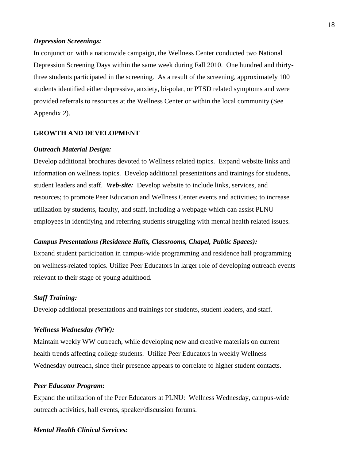#### *Depression Screenings:*

In conjunction with a nationwide campaign, the Wellness Center conducted two National Depression Screening Days within the same week during Fall 2010. One hundred and thirtythree students participated in the screening. As a result of the screening, approximately 100 students identified either depressive, anxiety, bi-polar, or PTSD related symptoms and were provided referrals to resources at the Wellness Center or within the local community (See Appendix 2).

#### **GROWTH AND DEVELOPMENT**

#### *Outreach Material Design:*

Develop additional brochures devoted to Wellness related topics. Expand website links and information on wellness topics. Develop additional presentations and trainings for students, student leaders and staff. *Web-site:* Develop website to include links, services, and resources; to promote Peer Education and Wellness Center events and activities; to increase utilization by students, faculty, and staff, including a webpage which can assist PLNU employees in identifying and referring students struggling with mental health related issues.

#### *Campus Presentations (Residence Halls, Classrooms, Chapel, Public Spaces):*

Expand student participation in campus-wide programming and residence hall programming on wellness-related topics. Utilize Peer Educators in larger role of developing outreach events relevant to their stage of young adulthood.

#### *Staff Training:*

Develop additional presentations and trainings for students, student leaders, and staff.

#### *Wellness Wednesday (WW):*

Maintain weekly WW outreach, while developing new and creative materials on current health trends affecting college students. Utilize Peer Educators in weekly Wellness Wednesday outreach, since their presence appears to correlate to higher student contacts.

#### *Peer Educator Program:*

Expand the utilization of the Peer Educators at PLNU: Wellness Wednesday, campus-wide outreach activities, hall events, speaker/discussion forums.

#### *Mental Health Clinical Services:*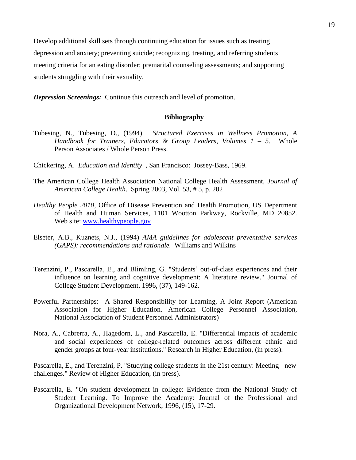Develop additional skill sets through continuing education for issues such as treating depression and anxiety; preventing suicide; recognizing, treating, and referring students meeting criteria for an eating disorder; premarital counseling assessments; and supporting students struggling with their sexuality.

*Depression Screenings:* Continue this outreach and level of promotion.

#### **Bibliography**

- Tubesing, N., Tubesing, D., (1994). *Structured Exercises in Wellness Promotion, A Handbook for Trainers, Educators & Group Leaders*, *Volumes 1 – 5*. Whole Person Associates / Whole Person Press.
- Chickering, A. *Education and Identity* , San Francisco: Jossey-Bass, 1969.
- The American College Health Association National College Health Assessment, *Journal of American College Health*. Spring 2003, Vol. 53, # 5, p. 202
- *Healthy People 2010*, Office of Disease Prevention and Health Promotion, US Department of Health and Human Services, 1101 Wootton Parkway, Rockville, MD 20852. Web site: [www.healthypeople.gov](http://www.healthypeople.gov/)
- Elseter, A.B., Kuznets, N.J., (1994) *AMA guidelines for adolescent preventative services (GAPS): recommendations and rationale.* Williams and Wilkins
- Terenzini, P., Pascarella, E., and Blimling, G. "Students' out-of-class experiences and their influence on learning and cognitive development: A literature review." Journal of College Student Development, 1996, (37), 149-162.
- Powerful Partnerships: A Shared Responsibility for Learning, A Joint Report (American Association for Higher Education. American College Personnel Association, National Association of Student Personnel Administrators)
- Nora, A., Cabrerra, A., Hagedorn, L., and Pascarella, E. "Differential impacts of academic and social experiences of college-related outcomes across different ethnic and gender groups at four-year institutions." Research in Higher Education, (in press).

Pascarella, E., and Terenzini, P. "Studying college students in the 21st century: Meeting new challenges." Review of Higher Education, (in press).

Pascarella, E. "On student development in college: Evidence from the National Study of Student Learning. To Improve the Academy: Journal of the Professional and Organizational Development Network, 1996, (15), 17-29.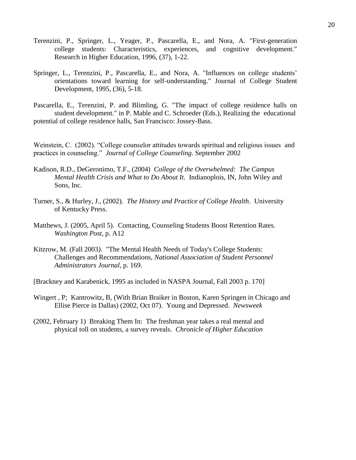- Terenzini, P., Springer, L., Yeager, P., Pascarella, E., and Nora, A. "First-generation college students: Characteristics, experiences, and cognitive development." Research in Higher Education, 1996, (37), 1-22.
- Springer, L., Terenzini, P., Pascarella, E., and Nora, A. "Influences on college students' orientations toward learning for self-understanding." Journal of College Student Development, 1995, (36), 5-18.
- Pascarella, E., Terenzini, P. and Blimling, G. "The impact of college residence halls on student development." in P. Mable and C. Schroeder (Eds.), Realizing the educational potential of college residence halls, San Francisco: Jossey-Bass.

Weinstein, C. (2002). "College counselor attitudes towards spiritual and religious issues and practices in counseling." *Journal of College Counseling*. September 2002

- Kadison, R.D., DeGeronimo, T.F., (2004) *College of the Overwhelmed: The Campus Mental Health Crisis and What to Do About It*. Indianoplois, IN, John Wiley and Sons, Inc.
- Turner, S., & Hurley, J., (2002). *The History and Practice of College Health*. University of Kentucky Press.
- Matthews, J. (2005, April 5). Contacting, Counseling Students Boost Retention Rates. *Washington Post*, p. A12
- Kitzrow, M. (Fall 2003*).* "The Mental Health Needs of Today's College Students: Challenges and Recommendations, *National Association of Student Personnel Administrators Journal*, p. 169.
- [Brackney and Karabenick, 1995 as included in NASPA Journal, Fall 2003 p. 170]
- Wingert , P; Kantrowitz, B, (With Brian Braiker in Boston, Karen Springen in Chicago and Ellise Pierce in Dallas) (2002, Oct 07). Young and Depressed. *Newsweek*
- (2002, February 1) Breaking Them In: The freshman year takes a real mental and physical toll on students, a survey reveals. *Chronicle of Higher Education*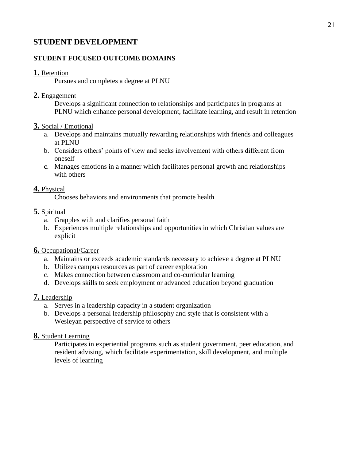# **STUDENT DEVELOPMENT**

# **STUDENT FOCUSED OUTCOME DOMAINS**

# **1.** Retention

Pursues and completes a degree at PLNU

# **2.** Engagement

Develops a significant connection to relationships and participates in programs at PLNU which enhance personal development, facilitate learning, and result in retention

#### **3.** Social / Emotional

- a. Develops and maintains mutually rewarding relationships with friends and colleagues at PLNU
- b. Considers others' points of view and seeks involvement with others different from oneself
- c. Manages emotions in a manner which facilitates personal growth and relationships with others

# **4.** Physical

Chooses behaviors and environments that promote health

# **5.** Spiritual

- a. Grapples with and clarifies personal faith
- b. Experiences multiple relationships and opportunities in which Christian values are explicit

### **6.** Occupational/Career

- a. Maintains or exceeds academic standards necessary to achieve a degree at PLNU
- b. Utilizes campus resources as part of career exploration
- c. Makes connection between classroom and co-curricular learning
- d. Develops skills to seek employment or advanced education beyond graduation

# **7.** Leadership

- a. Serves in a leadership capacity in a student organization
- b. Develops a personal leadership philosophy and style that is consistent with a Wesleyan perspective of service to others

# **8.** Student Learning

Participates in experiential programs such as student government, peer education, and resident advising, which facilitate experimentation, skill development, and multiple levels of learning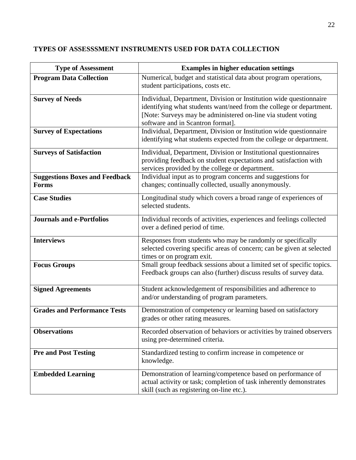# **TYPES OF ASSESSSMENT INSTRUMENTS USED FOR DATA COLLECTION**

| <b>Type of Assessment</b>                             | <b>Examples in higher education settings</b>                                                                                                                                                                                                    |
|-------------------------------------------------------|-------------------------------------------------------------------------------------------------------------------------------------------------------------------------------------------------------------------------------------------------|
| <b>Program Data Collection</b>                        | Numerical, budget and statistical data about program operations,<br>student participations, costs etc.                                                                                                                                          |
| <b>Survey of Needs</b>                                | Individual, Department, Division or Institution wide questionnaire<br>identifying what students want/need from the college or department.<br>[Note: Surveys may be administered on-line via student voting<br>software and in Scantron format]. |
| <b>Survey of Expectations</b>                         | Individual, Department, Division or Institution wide questionnaire<br>identifying what students expected from the college or department.                                                                                                        |
| <b>Surveys of Satisfaction</b>                        | Individual, Department, Division or Institutional questionnaires<br>providing feedback on student expectations and satisfaction with<br>services provided by the college or department.                                                         |
| <b>Suggestions Boxes and Feedback</b><br><b>Forms</b> | Individual input as to program concerns and suggestions for<br>changes; continually collected, usually anonymously.                                                                                                                             |
| <b>Case Studies</b>                                   | Longitudinal study which covers a broad range of experiences of<br>selected students.                                                                                                                                                           |
| <b>Journals and e-Portfolios</b>                      | Individual records of activities, experiences and feelings collected<br>over a defined period of time.                                                                                                                                          |
| <b>Interviews</b>                                     | Responses from students who may be randomly or specifically<br>selected covering specific areas of concern; can be given at selected<br>times or on program exit.                                                                               |
| <b>Focus Groups</b>                                   | Small group feedback sessions about a limited set of specific topics.<br>Feedback groups can also (further) discuss results of survey data.                                                                                                     |
| <b>Signed Agreements</b>                              | Student acknowledgement of responsibilities and adherence to<br>and/or understanding of program parameters.                                                                                                                                     |
| <b>Grades and Performance Tests</b>                   | Demonstration of competency or learning based on satisfactory<br>grades or other rating measures.                                                                                                                                               |
| <b>Observations</b>                                   | Recorded observation of behaviors or activities by trained observers<br>using pre-determined criteria.                                                                                                                                          |
| <b>Pre and Post Testing</b>                           | Standardized testing to confirm increase in competence or<br>knowledge.                                                                                                                                                                         |
| <b>Embedded Learning</b>                              | Demonstration of learning/competence based on performance of<br>actual activity or task; completion of task inherently demonstrates<br>skill (such as registering on-line etc.).                                                                |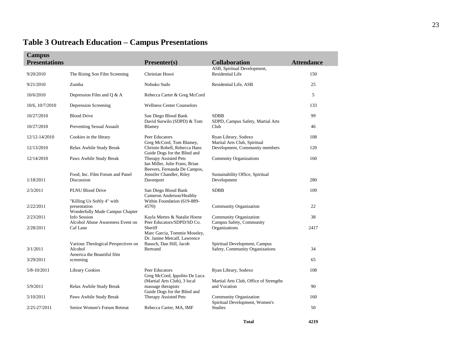# **Table 3 Outreach Education – Campus Presentations**

| <b>Campus</b><br><b>Presentations</b> |                                                                                           | Presenter(s)                                                                                                        | <b>Collaboration</b>                                             | <b>Attendance</b> |
|---------------------------------------|-------------------------------------------------------------------------------------------|---------------------------------------------------------------------------------------------------------------------|------------------------------------------------------------------|-------------------|
| 9/20/2010                             | The Rising Son Film Screening                                                             | Christian Hosoi                                                                                                     | ASB, Spiritual Development,<br><b>Residential Life</b>           | 150               |
| 9/21/2010                             | Zumba                                                                                     | Nobuko Sudo                                                                                                         | Residential Life, ASB                                            | 25                |
| 10/6/2010                             | Depression Film and $Q & A$                                                               | Rebecca Carter & Greg McCord                                                                                        |                                                                  | 5                 |
| 10/6, 10/7/2010                       | Depression Screening                                                                      | <b>Wellness Center Counselors</b>                                                                                   |                                                                  | 133               |
| 10/27/2010                            | <b>Blood Drive</b>                                                                        | San Diego Blood Bank<br>David Surwilo (SDPD) & Tom                                                                  | <b>SDBB</b>                                                      | 99                |
| 10/27/2010                            | <b>Preventing Sexual Assault</b>                                                          | Blamey                                                                                                              | SDPD, Campus Safety, Martial Arts<br>Club                        | 46                |
| 12/12-14/2010                         | Cookies in the library                                                                    | Peer Educators                                                                                                      | Ryan Library, Sodexo                                             | 108               |
| 12/13/2010                            | Relax Awhile Study Break                                                                  | Greg McCord, Tom Blamey,<br>Christie Robell, Rebecca Hans                                                           | Martial Arts Club, Spiritual<br>Development, Community members   | 120               |
| 12/14/2010                            | Paws Awhile Study Break                                                                   | Guide Dogs for the Blind and<br>Therapy Assisted Pets                                                               | <b>Commnity Organizations</b>                                    | 160               |
| 1/18/2011                             | Food, Inc. Film Forum and Panel<br>Discussion                                             | Ian Miller, Julie Frans, Brian<br>Beevers, Fernanda De Campos,<br>Jennifer Chandler, Riley<br>Davenport             | Sustainability Office, Spiritual<br>Development                  | 280               |
| 2/3/2011                              | <b>PLNU Blood Drive</b>                                                                   | San Diego Blood Bank                                                                                                | <b>SDBB</b>                                                      | 109               |
| 2/22/2011                             | "Killing Us Softly 4" with<br>presentation<br>Wonderfully Made Campus Chapter             | Cameron Anderson/Healthy<br>Within Foundation (619-889-<br>4570)                                                    | <b>Community Organization</b>                                    | 22                |
| 2/23/2011                             | Info Session<br>Alcohol Abuse Awareness Event on                                          | Kayla Mertes & Natalie Horne<br>Peer Educators/SDPD/SD Co.                                                          | <b>Community Organization</b><br>Campus Safety, Community        | 38                |
| 2/28/2011                             | Caf Lane                                                                                  | Sheriff<br>Marc Garcia, Tommie Moseley,                                                                             | Organizations                                                    | 2417              |
| 3/1/2011<br>3/29/2011                 | Various Theological Perspectives on<br>Alcohol<br>America the Beautiful film<br>screening | Dr. Janine Metcalf, Lawrence<br>Bausch, Dan Hill, Jacob<br>Bertrand                                                 | Spiritual Development, Campus<br>Safety, Community Organizations | 34<br>65          |
| 5/8-10/2011                           | <b>Library Cookies</b>                                                                    | Peer Educators                                                                                                      | Ryan Library, Sodexo                                             | 108               |
| 5/9/2011                              | Relax Awhile Study Break                                                                  | Greg McCord, Ippolito De Luca<br>(Martial Arts Club), 3 local<br>massage therapists<br>Guide Dogs for the Blind and | Martial Arts Club, Office of Strengths<br>and Vocation           | 90                |
| 5/10/2011                             | Paws Awhile Study Break                                                                   | Therapy Assisted Pets                                                                                               | Community Organization<br>Spiritual Development, Women's         | 160               |
| 2/25-27/2011                          | Senior Women's Forum Retreat                                                              | Rebecca Carter, MA, IMF                                                                                             | <b>Studies</b>                                                   | 50                |
|                                       |                                                                                           |                                                                                                                     |                                                                  |                   |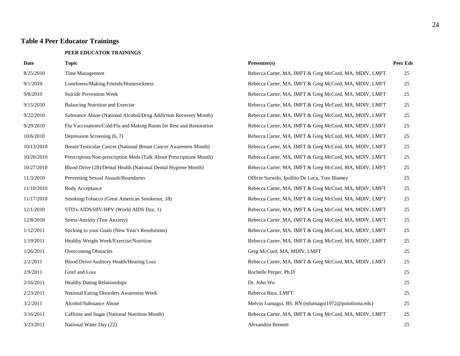# **Table 4 Peer Educator Trainings**

#### **PEER EDUCATOR TRAININGS**

| <b>Date</b> | <b>Topic</b>                                                        | Presenter(s)                                           | <b>Peer Eds</b> |
|-------------|---------------------------------------------------------------------|--------------------------------------------------------|-----------------|
| 8/25/2010   | Time Management                                                     | Rebecca Carter, MA, IMFT & Greg McCord, MA, MDIV, LMFT | 25              |
| 9/1/2010    | Loneliness/Making Friends/Homesickness                              | Rebecca Carter, MA, IMFT & Greg McCord, MA, MDIV, LMFT | 25              |
| 9/8/2010    | Suicide Prevention Week                                             | Rebecca Carter, MA, IMFT & Greg McCord, MA, MDIV, LMFT | 25              |
| 9/15/2010   | <b>Balancing Nutrition and Exercise</b>                             | Rebecca Carter, MA, IMFT & Greg McCord, MA, MDIV, LMFT | 25              |
| 9/22/2010   | Substance Abuse (National Alcohol/Drug Addiction Recovery Month)    | Rebecca Carter, MA, IMFT & Greg McCord, MA, MDIV, LMFT | 25              |
| 9/29/2010   | Flu Vaccinations/Cold/Flu and Making Room for Rest and Restoration  | Rebecca Carter, MA, IMFT & Greg McCord, MA, MDIV, LMFT | 25              |
| 10/6/2010   | Depression Screening (6, 7)                                         | Rebecca Carter, MA, IMFT & Greg McCord, MA, MDIV, LMFT | 25              |
| 10/13/2010  | Breast/Testicular Cancer (National Breast Cancer Awareness Month)   | Rebecca Carter, MA, IMFT & Greg McCord, MA, MDIV, LMFT | $25\,$          |
| 10/20/2010  | Prescription/Non-prescription Meds (Talk About Prescriptions Month) | Rebecca Carter, MA, IMFT & Greg McCord, MA, MDIV, LMFT | 25              |
| 10/27/2010  | Blood Drive (28)/Dental Health (National Dental Hygiene Month)      | Rebecca Carter, MA, IMFT & Greg McCord, MA, MDIV, LMFT | 25              |
| 11/3/2010   | Preventing Sexual Assault/Boundaries                                | Officer Surwilo, Ipollito De Luca, Tom Blamey          | 25              |
| 11/10/2010  | <b>Body Acceptance</b>                                              | Rebecca Carter, MA, IMFT & Greg McCord, MA, MDIV, LMFT | 25              |
| 11/17/2010  | Smoking/Tobacco (Great American Smokeout, 18)                       | Rebecca Carter, MA, IMFT & Greg McCord, MA, MDIV, LMFT | 25              |
| 12/1/2010   | STD's-AIDS/HIV/HPV (World AIDS Day, 1)                              | Rebecca Carter, MA, IMFT & Greg McCord, MA, MDIV, LMFT | 25              |
| 12/8/2010   | Stress/Anxiety (Test Anxiety)                                       | Rebecca Carter, MA, IMFT & Greg McCord, MA, MDIV, LMFT | 25              |
| 1/12/2011   | Sticking to your Goals (New Year's Resolutions)                     | Rebecca Carter, MA, IMFT & Greg McCord, MA, MDIV, LMFT | 25              |
| 1/19/2011   | Healthy Weight Week/Exercise/Nutrition                              | Rebecca Carter, MA, IMFT & Greg McCord, MA, MDIV, LMFT | 25              |
| 1/26/2011   | <b>Overcoming Obstacles</b>                                         | Greg McCord, MA, MDIV, LMFT                            | 25              |
| 2/2/2011    | Blood Drive/Auditory Health/Hearing Loss                            | Rebecca Carter, MA, IMFT & Greg McCord, MA, MDIV, LMFT | 25              |
| 2/9/2011    | Grief and Loss                                                      | Rochelle Perper, Ph.D                                  | 25              |
| 2/16/2011   | <b>Healthy Dating Relationships</b>                                 | Dr. John Wu                                            | 25              |
| 2/23/2011   | National Eating Disorders Awareness Week                            | Rebecca Bass, LMFT                                     | 25              |
| 3/2/2011    | Alcohol/Substance Abuse                                             | Melvin Lumagui, BS, RN (mlumagui1972@pointloma.edu)    | 25              |
| 3/16/2011   | Caffeine and Sugar (National Nutrition Month)                       | Rebecca Carter, MA, IMFT & Greg McCord, MA, MDIV, LMFT | 25              |
| 3/23/2011   | National Water Day (22)                                             | Alexandria Bennett                                     | 25              |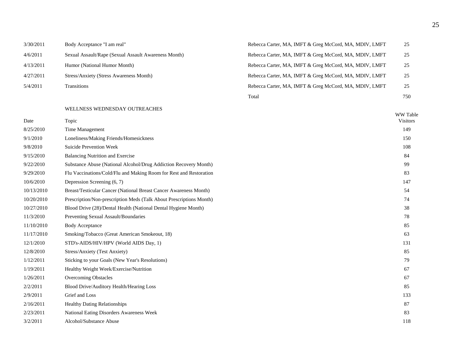| 3/30/2011 | Body Acceptance "I am real"                          | Rebecca Carter, MA, IMFT & Greg McCord, MA, MDIV, LMFT | 25  |
|-----------|------------------------------------------------------|--------------------------------------------------------|-----|
| 4/6/2011  | Sexual Assault/Rape (Sexual Assault Awareness Month) | Rebecca Carter, MA, IMFT & Greg McCord, MA, MDIV, LMFT | 25  |
| 4/13/2011 | Humor (National Humor Month)                         | Rebecca Carter, MA, IMFT & Greg McCord, MA, MDIV, LMFT | 25  |
| 4/27/2011 | Stress/Anxiety (Stress Awareness Month)              | Rebecca Carter, MA, IMFT & Greg McCord, MA, MDIV, LMFT | 25  |
| 5/4/2011  | <b>Transitions</b>                                   | Rebecca Carter, MA, IMFT & Greg McCord, MA, MDIV, LMFT | 25  |
|           |                                                      | Total                                                  | 750 |

#### WELLNESS WEDNESDAY OUTREACHES

| Date       | Topic                                                               | WW Table<br><b>Visitors</b> |
|------------|---------------------------------------------------------------------|-----------------------------|
| 8/25/2010  | Time Management                                                     | 149                         |
| 9/1/2010   | Loneliness/Making Friends/Homesickness                              | 150                         |
| 9/8/2010   | <b>Suicide Prevention Week</b>                                      | 108                         |
| 9/15/2010  | <b>Balancing Nutrition and Exercise</b>                             | 84                          |
| 9/22/2010  | Substance Abuse (National Alcohol/Drug Addiction Recovery Month)    | 99                          |
| 9/29/2010  | Flu Vaccinations/Cold/Flu and Making Room for Rest and Restoration  | 83                          |
| 10/6/2010  | Depression Screening (6, 7)                                         | 147                         |
| 10/13/2010 | Breast/Testicular Cancer (National Breast Cancer Awareness Month)   | 54                          |
| 10/20/2010 | Prescription/Non-prescription Meds (Talk About Prescriptions Month) | 74                          |
| 10/27/2010 | Blood Drive (28)/Dental Health (National Dental Hygiene Month)      | 38                          |
| 11/3/2010  | Preventing Sexual Assault/Boundaries                                | 78                          |
| 11/10/2010 | <b>Body Acceptance</b>                                              | 85                          |
| 11/17/2010 | Smoking/Tobacco (Great American Smokeout, 18)                       | 63                          |
| 12/1/2010  | STD's-AIDS/HIV/HPV (World AIDS Day, 1)                              | 131                         |
| 12/8/2010  | Stress/Anxiety (Test Anxiety)                                       | 85                          |
| 1/12/2011  | Sticking to your Goals (New Year's Resolutions)                     | 79                          |
| 1/19/2011  | Healthy Weight Week/Exercise/Nutrition                              | 67                          |
| 1/26/2011  | <b>Overcoming Obstacles</b>                                         | 67                          |
| 2/2/2011   | Blood Drive/Auditory Health/Hearing Loss                            | 85                          |
| 2/9/2011   | Grief and Loss                                                      | 133                         |
| 2/16/2011  | <b>Healthy Dating Relationships</b>                                 | 87                          |
| 2/23/2011  | National Eating Disorders Awareness Week                            | 83                          |
| 3/2/2011   | Alcohol/Substance Abuse                                             | 118                         |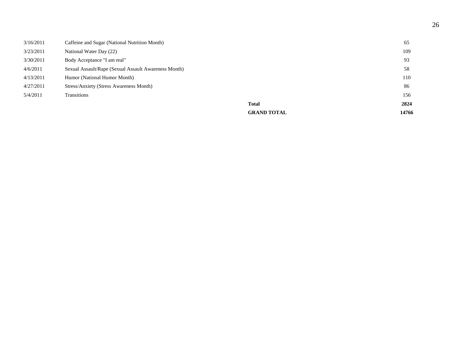|           |                                                      | <b>GRAND TOTAL</b> | 14766 |
|-----------|------------------------------------------------------|--------------------|-------|
|           |                                                      | <b>Total</b>       | 2824  |
| 5/4/2011  | Transitions                                          |                    | 156   |
| 4/27/2011 | Stress/Anxiety (Stress Awareness Month)              |                    | 86    |
| 4/13/2011 | Humor (National Humor Month)                         |                    | 110   |
| 4/6/2011  | Sexual Assault/Rape (Sexual Assault Awareness Month) |                    | 58    |
| 3/30/2011 | Body Acceptance "I am real"                          |                    | 93    |
| 3/23/2011 | National Water Day (22)                              |                    | 109   |
| 3/16/2011 | Caffeine and Sugar (National Nutrition Month)        |                    | 65    |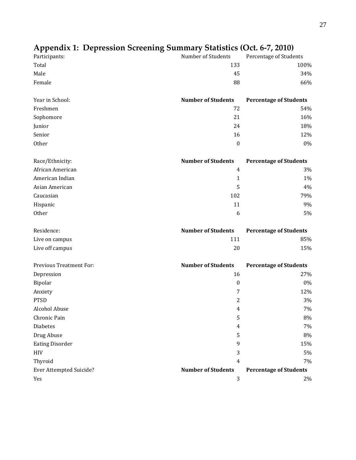| Participants:                  | Number of Students        | Percentage of Students        |
|--------------------------------|---------------------------|-------------------------------|
| Total                          | 133                       | 100%                          |
| Male                           | 45                        | 34%                           |
| Female                         | 88                        | 66%                           |
| Year in School:                | <b>Number of Students</b> | <b>Percentage of Students</b> |
| Freshmen                       | 72                        | 54%                           |
| Sophomore                      | 21                        | 16%                           |
| Junior                         | 24                        | 18%                           |
| Senior                         | 16                        | 12%                           |
| Other                          | $\boldsymbol{0}$          | $0\%$                         |
| Race/Ethnicity:                | <b>Number of Students</b> | <b>Percentage of Students</b> |
| African American               | $\overline{4}$            | 3%                            |
| American Indian                | $\mathbf{1}$              | 1%                            |
| Asian American                 | 5                         | 4%                            |
| Caucasian                      | 102                       | 79%                           |
| Hispanic                       | 11                        | 9%                            |
| Other                          | 6                         | 5%                            |
| Residence:                     | <b>Number of Students</b> | <b>Percentage of Students</b> |
| Live on campus                 | 111                       | 85%                           |
| Live off campus                | 20                        | 15%                           |
| <b>Previous Treatment For:</b> | <b>Number of Students</b> | <b>Percentage of Students</b> |
| Depression                     | 16                        | 27%                           |
| Bipolar                        | $\boldsymbol{0}$          | 0%                            |
| Anxiety                        | 7                         | 12%                           |
| <b>PTSD</b>                    | $\overline{c}$            | 3%                            |
| Alcohol Abuse                  | $\overline{4}$            | 7%                            |
| Chronic Pain                   | 5                         | $8\%$                         |
| <b>Diabetes</b>                | 4                         | 7%                            |
| Drug Abuse                     | 5                         | $8\%$                         |
| <b>Eating Disorder</b>         | 9                         | 15%                           |
|                                |                           |                               |
| <b>HIV</b>                     | 3                         | $5\%$                         |
| Thyroid                        | $\overline{4}$            | 7%                            |
| Ever Attempted Suicide?        | <b>Number of Students</b> | <b>Percentage of Students</b> |

# **Appendix 1: Depression Screening Summary Statistics (Oct. 6-7, 2010)**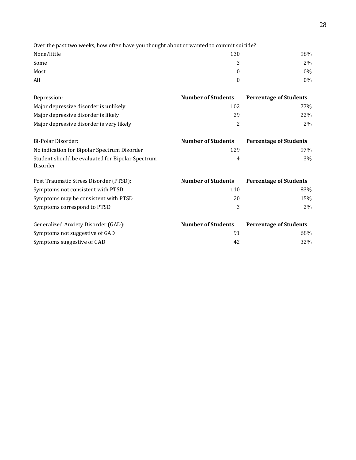| Over the past two weeks, how often have you thought about or wanted to commit suicide? |     |       |
|----------------------------------------------------------------------------------------|-----|-------|
| None/little                                                                            | 130 | 98%   |
| Some                                                                                   |     | $2\%$ |
| Most                                                                                   |     | $0\%$ |
| All                                                                                    |     | 0%    |

| Depression:                                                  | <b>Number of Students</b> | <b>Percentage of Students</b> |
|--------------------------------------------------------------|---------------------------|-------------------------------|
| Major depressive disorder is unlikely                        | 102                       | <b>77%</b>                    |
| Major depressive disorder is likely                          | 29                        | 22\%                          |
| Major depressive disorder is very likely                     | 2                         | $2\%$                         |
| Bi-Polar Disorder:                                           | <b>Number of Students</b> | <b>Percentage of Students</b> |
| No indication for Bipolar Spectrum Disorder                  | 129                       | 97%                           |
| Student should be evaluated for Bipolar Spectrum<br>Disorder | 4                         | 3%                            |
| Post Traumatic Stress Disorder (PTSD):                       | <b>Number of Students</b> | <b>Percentage of Students</b> |

| Symptoms not consistent with PTSD    | 110                       | 83%                           |
|--------------------------------------|---------------------------|-------------------------------|
| Symptoms may be consistent with PTSD | 20                        | 15%                           |
| Symptoms correspond to PTSD          | 3                         | $2\%$                         |
| Generalized Anxiety Disorder (GAD):  | <b>Number of Students</b> | <b>Percentage of Students</b> |
| Symptoms not suggestive of GAD       | 91                        | 68%                           |
|                                      |                           |                               |
| Symptoms suggestive of GAD           | 42                        | 32%                           |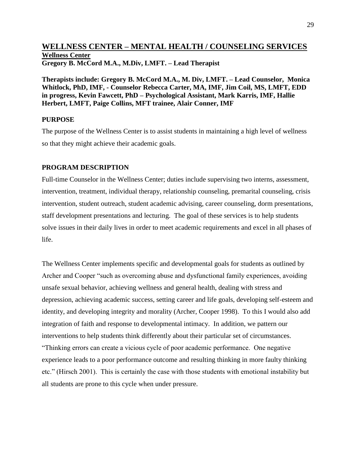# **WELLNESS CENTER – MENTAL HEALTH / COUNSELING SERVICES Wellness Center Gregory B. McCord M.A., M.Div, LMFT. – Lead Therapist**

**Therapists include: Gregory B. McCord M.A., M. Div, LMFT. – Lead Counselor, Monica Whitlock, PhD, IMF, - Counselor Rebecca Carter, MA, IMF, Jim Coil, MS, LMFT, EDD in progress, Kevin Fawcett, PhD – Psychological Assistant, Mark Karris, IMF, Hallie Herbert, LMFT, Paige Collins, MFT trainee, Alair Conner, IMF**

#### **PURPOSE**

The purpose of the Wellness Center is to assist students in maintaining a high level of wellness so that they might achieve their academic goals.

#### **PROGRAM DESCRIPTION**

Full-time Counselor in the Wellness Center; duties include supervising two interns, assessment, intervention, treatment, individual therapy, relationship counseling, premarital counseling, crisis intervention, student outreach, student academic advising, career counseling, dorm presentations, staff development presentations and lecturing. The goal of these services is to help students solve issues in their daily lives in order to meet academic requirements and excel in all phases of life.

The Wellness Center implements specific and developmental goals for students as outlined by Archer and Cooper "such as overcoming abuse and dysfunctional family experiences, avoiding unsafe sexual behavior, achieving wellness and general health, dealing with stress and depression, achieving academic success, setting career and life goals, developing self-esteem and identity, and developing integrity and morality (Archer, Cooper 1998). To this I would also add integration of faith and response to developmental intimacy. In addition, we pattern our interventions to help students think differently about their particular set of circumstances. "Thinking errors can create a vicious cycle of poor academic performance. One negative experience leads to a poor performance outcome and resulting thinking in more faulty thinking etc." (Hirsch 2001). This is certainly the case with those students with emotional instability but all students are prone to this cycle when under pressure.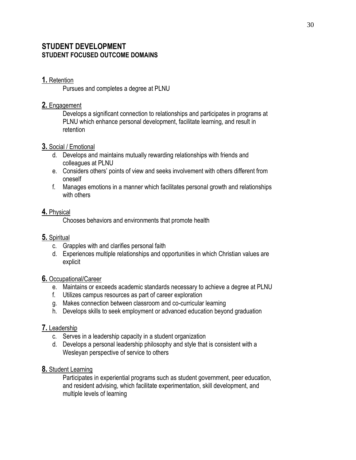# **STUDENT DEVELOPMENT STUDENT FOCUSED OUTCOME DOMAINS**

# **1.** Retention

Pursues and completes a degree at PLNU

# **2.** Engagement

Develops a significant connection to relationships and participates in programs at PLNU which enhance personal development, facilitate learning, and result in retention

# **3.** Social / Emotional

- d. Develops and maintains mutually rewarding relationships with friends and colleagues at PLNU
- e. Considers others' points of view and seeks involvement with others different from oneself
- f. Manages emotions in a manner which facilitates personal growth and relationships with others

# **4.** Physical

Chooses behaviors and environments that promote health

# **5.** Spiritual

- c. Grapples with and clarifies personal faith
- d. Experiences multiple relationships and opportunities in which Christian values are explicit

#### **6.** Occupational/Career

- e. Maintains or exceeds academic standards necessary to achieve a degree at PLNU
- f. Utilizes campus resources as part of career exploration
- g. Makes connection between classroom and co-curricular learning
- h. Develops skills to seek employment or advanced education beyond graduation

# **7.** Leadership

- c. Serves in a leadership capacity in a student organization
- d. Develops a personal leadership philosophy and style that is consistent with a Wesleyan perspective of service to others

# **8.** Student Learning

Participates in experiential programs such as student government, peer education, and resident advising, which facilitate experimentation, skill development, and multiple levels of learning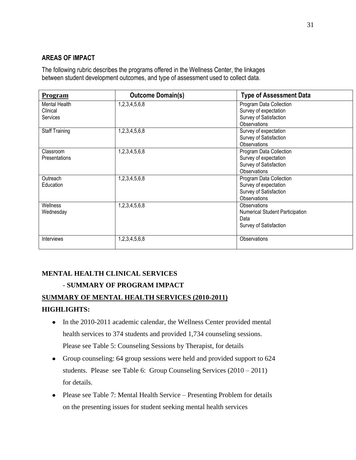# **AREAS OF IMPACT**

The following rubric describes the programs offered in the Wellness Center, the linkages between student development outcomes, and type of assessment used to collect data.

| Program                               | <b>Outcome Domain(s)</b> | <b>Type of Assessment Data</b>                                                             |
|---------------------------------------|--------------------------|--------------------------------------------------------------------------------------------|
| Mental Health<br>Clinical<br>Services | 1,2,3,4,5,6,8            | Program Data Collection<br>Survey of expectation<br>Survey of Satisfaction<br>Observations |
| <b>Staff Training</b>                 | 1,2,3,4,5,6,8            | Survey of expectation<br>Survey of Satisfaction<br><b>Observations</b>                     |
| Classroom<br>Presentations            | 1,2,3,4,5,6,8            | Program Data Collection<br>Survey of expectation<br>Survey of Satisfaction<br>Observations |
| Outreach<br>Education                 | 1,2,3,4,5,6,8            | Program Data Collection<br>Survey of expectation<br>Survey of Satisfaction<br>Observations |
| Wellness<br>Wednesday                 | 1,2,3,4,5,6,8            | Observations<br><b>Numerical Student Participation</b><br>Data<br>Survey of Satisfaction   |
| <b>Interviews</b>                     | 1,2,3,4,5,6,8            | Observations                                                                               |

# **MENTAL HEALTH CLINICAL SERVICES**

# - **SUMMARY OF PROGRAM IMPACT**

# **SUMMARY OF MENTAL HEALTH SERVICES (2010-2011)**

# **HIGHLIGHTS:**

- In the 2010-2011 academic calendar, the Wellness Center provided mental health services to 374 students and provided 1,734 counseling sessions. Please see Table 5: Counseling Sessions by Therapist, for details
- Group counseling: 64 group sessions were held and provided support to 624 students. Please see Table 6: Group Counseling Services (2010 – 2011) for details.
- Please see Table 7: Mental Health Service Presenting Problem for details on the presenting issues for student seeking mental health services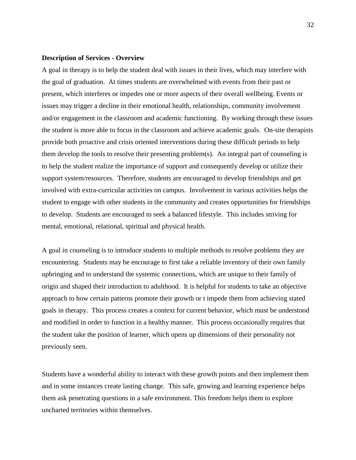#### **Description of Services - Overview**

A goal in therapy is to help the student deal with issues in their lives, which may interfere with the goal of graduation. At times students are overwhelmed with events from their past or present, which interferes or impedes one or more aspects of their overall wellbeing. Events or issues may trigger a decline in their emotional health, relationships, community involvement and/or engagement in the classroom and academic functioning. By working through these issues the student is more able to focus in the classroom and achieve academic goals. On-site therapists provide both proactive and crisis oriented interventions during these difficult periods to help them develop the tools to resolve their presenting problem(s). An integral part of counseling is to help the student realize the importance of support and consequently develop or utilize their support system/resources. Therefore, students are encouraged to develop friendships and get involved with extra-curricular activities on campus. Involvement in various activities helps the student to engage with other students in the community and creates opportunities for friendships to develop. Students are encouraged to seek a balanced lifestyle. This includes striving for mental, emotional, relational, spiritual and physical health.

A goal in counseling is to introduce students to multiple methods to resolve problems they are encountering. Students may be encourage to first take a reliable inventory of their own family upbringing and to understand the systemic connections, which are unique to their family of origin and shaped their introduction to adulthood. It is helpful for students to take an objective approach to how certain patterns promote their growth or t impede them from achieving stated goals in therapy. This process creates a context for current behavior, which must be understood and modified in order to function in a healthy manner. This process occasionally requires that the student take the position of learner, which opens up dimensions of their personality not previously seen.

Students have a wonderful ability to interact with these growth points and then implement them and in some instances create lasting change. This safe, growing and learning experience helps them ask penetrating questions in a safe environment. This freedom helps them to explore uncharted territories within themselves.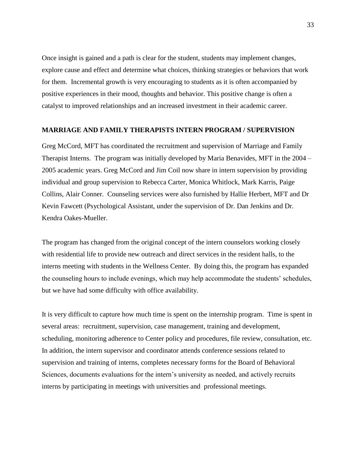Once insight is gained and a path is clear for the student, students may implement changes, explore cause and effect and determine what choices, thinking strategies or behaviors that work for them. Incremental growth is very encouraging to students as it is often accompanied by positive experiences in their mood, thoughts and behavior. This positive change is often a catalyst to improved relationships and an increased investment in their academic career.

#### **MARRIAGE AND FAMILY THERAPISTS INTERN PROGRAM / SUPERVISION**

Greg McCord, MFT has coordinated the recruitment and supervision of Marriage and Family Therapist Interns. The program was initially developed by Maria Benavides, MFT in the 2004 – 2005 academic years. Greg McCord and Jim Coil now share in intern supervision by providing individual and group supervision to Rebecca Carter, Monica Whitlock, Mark Karris, Paige Collins, Alair Conner. Counseling services were also furnished by Hallie Herbert, MFT and Dr Kevin Fawcett (Psychological Assistant, under the supervision of Dr. Dan Jenkins and Dr. Kendra Oakes-Mueller.

The program has changed from the original concept of the intern counselors working closely with residential life to provide new outreach and direct services in the resident halls, to the interns meeting with students in the Wellness Center. By doing this, the program has expanded the counseling hours to include evenings, which may help accommodate the students' schedules, but we have had some difficulty with office availability.

It is very difficult to capture how much time is spent on the internship program. Time is spent in several areas: recruitment, supervision, case management, training and development, scheduling, monitoring adherence to Center policy and procedures, file review, consultation, etc. In addition, the intern supervisor and coordinator attends conference sessions related to supervision and training of interns, completes necessary forms for the Board of Behavioral Sciences, documents evaluations for the intern's university as needed, and actively recruits interns by participating in meetings with universities and professional meetings.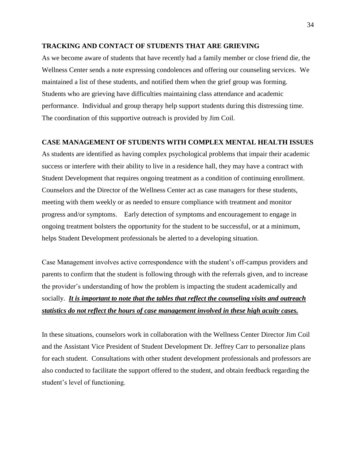#### **TRACKING AND CONTACT OF STUDENTS THAT ARE GRIEVING**

As we become aware of students that have recently had a family member or close friend die, the Wellness Center sends a note expressing condolences and offering our counseling services. We maintained a list of these students, and notified them when the grief group was forming. Students who are grieving have difficulties maintaining class attendance and academic performance. Individual and group therapy help support students during this distressing time. The coordination of this supportive outreach is provided by Jim Coil.

#### **CASE MANAGEMENT OF STUDENTS WITH COMPLEX MENTAL HEALTH ISSUES**

As students are identified as having complex psychological problems that impair their academic success or interfere with their ability to live in a residence hall, they may have a contract with Student Development that requires ongoing treatment as a condition of continuing enrollment. Counselors and the Director of the Wellness Center act as case managers for these students, meeting with them weekly or as needed to ensure compliance with treatment and monitor progress and/or symptoms. Early detection of symptoms and encouragement to engage in ongoing treatment bolsters the opportunity for the student to be successful, or at a minimum, helps Student Development professionals be alerted to a developing situation.

Case Management involves active correspondence with the student's off-campus providers and parents to confirm that the student is following through with the referrals given, and to increase the provider's understanding of how the problem is impacting the student academically and socially. *It is important to note that the tables that reflect the counseling visits and outreach statistics do not reflect the hours of case management involved in these high acuity cases.*

In these situations, counselors work in collaboration with the Wellness Center Director Jim Coil and the Assistant Vice President of Student Development Dr. Jeffrey Carr to personalize plans for each student. Consultations with other student development professionals and professors are also conducted to facilitate the support offered to the student, and obtain feedback regarding the student's level of functioning.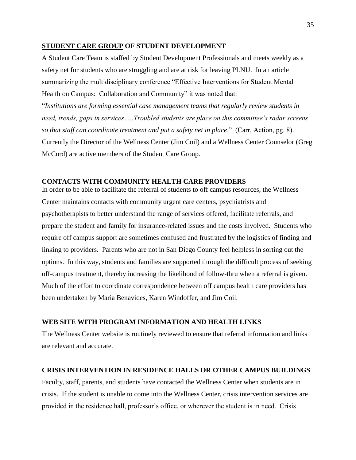#### **STUDENT CARE GROUP OF STUDENT DEVELOPMENT**

A Student Care Team is staffed by Student Development Professionals and meets weekly as a safety net for students who are struggling and are at risk for leaving PLNU. In an article summarizing the multidisciplinary conference "Effective Interventions for Student Mental Health on Campus: Collaboration and Community" it was noted that:

"*Institutions are forming essential case management teams that regularly review students in need, trends, gaps in services…..Troubled students are place on this committee's radar screens so that staff can coordinate treatment and put a safety net in place*." (Carr, Action, pg. 8). Currently the Director of the Wellness Center (Jim Coil) and a Wellness Center Counselor (Greg McCord) are active members of the Student Care Group.

#### **CONTACTS WITH COMMUNITY HEALTH CARE PROVIDERS**

In order to be able to facilitate the referral of students to off campus resources, the Wellness Center maintains contacts with community urgent care centers, psychiatrists and psychotherapists to better understand the range of services offered, facilitate referrals, and prepare the student and family for insurance-related issues and the costs involved. Students who require off campus support are sometimes confused and frustrated by the logistics of finding and linking to providers. Parents who are not in San Diego County feel helpless in sorting out the options. In this way, students and families are supported through the difficult process of seeking off-campus treatment, thereby increasing the likelihood of follow-thru when a referral is given. Much of the effort to coordinate correspondence between off campus health care providers has been undertaken by Maria Benavides, Karen Windoffer, and Jim Coil.

#### **WEB SITE WITH PROGRAM INFORMATION AND HEALTH LINKS**

The Wellness Center website is routinely reviewed to ensure that referral information and links are relevant and accurate.

#### **CRISIS INTERVENTION IN RESIDENCE HALLS OR OTHER CAMPUS BUILDINGS**

Faculty, staff, parents, and students have contacted the Wellness Center when students are in crisis. If the student is unable to come into the Wellness Center, crisis intervention services are provided in the residence hall, professor's office, or wherever the student is in need. Crisis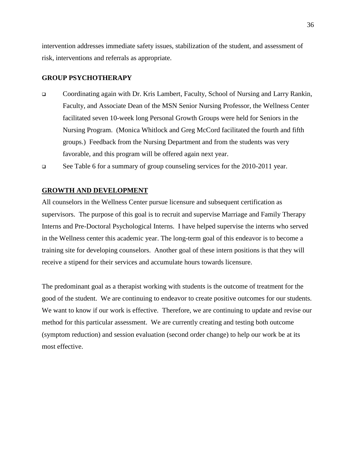intervention addresses immediate safety issues, stabilization of the student, and assessment of risk, interventions and referrals as appropriate.

#### **GROUP PSYCHOTHERAPY**

 Coordinating again with Dr. Kris Lambert, Faculty, School of Nursing and Larry Rankin, Faculty, and Associate Dean of the MSN Senior Nursing Professor, the Wellness Center facilitated seven 10-week long Personal Growth Groups were held for Seniors in the Nursing Program. (Monica Whitlock and Greg McCord facilitated the fourth and fifth groups.) Feedback from the Nursing Department and from the students was very favorable, and this program will be offered again next year.

See Table 6 for a summary of group counseling services for the 2010-2011 year.

#### **GROWTH AND DEVELOPMENT**

All counselors in the Wellness Center pursue licensure and subsequent certification as supervisors. The purpose of this goal is to recruit and supervise Marriage and Family Therapy Interns and Pre-Doctoral Psychological Interns. I have helped supervise the interns who served in the Wellness center this academic year. The long-term goal of this endeavor is to become a training site for developing counselors. Another goal of these intern positions is that they will receive a stipend for their services and accumulate hours towards licensure.

The predominant goal as a therapist working with students is the outcome of treatment for the good of the student. We are continuing to endeavor to create positive outcomes for our students. We want to know if our work is effective. Therefore, we are continuing to update and revise our method for this particular assessment. We are currently creating and testing both outcome (symptom reduction) and session evaluation (second order change) to help our work be at its most effective.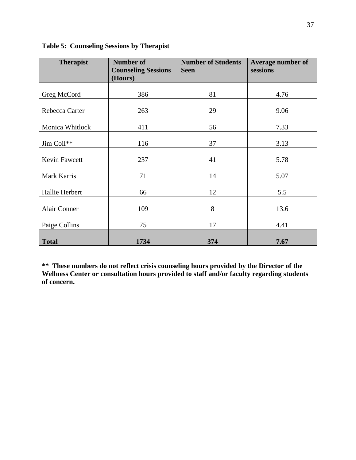| <b>Therapist</b>    | <b>Number of</b>           | <b>Number of Students</b> | <b>Average number of</b> |
|---------------------|----------------------------|---------------------------|--------------------------|
|                     | <b>Counseling Sessions</b> | <b>Seen</b>               | sessions                 |
|                     | (Hours)                    |                           |                          |
|                     |                            |                           |                          |
| Greg McCord         | 386                        | 81                        | 4.76                     |
| Rebecca Carter      | 263                        | 29                        | 9.06                     |
| Monica Whitlock     | 411                        | 56                        | 7.33                     |
| Jim Coil**          | 116                        | 37                        | 3.13                     |
| Kevin Fawcett       | 237                        | 41                        | 5.78                     |
| Mark Karris         | 71                         | 14                        | 5.07                     |
| Hallie Herbert      | 66                         | 12                        | 5.5                      |
| <b>Alair Conner</b> | 109                        | 8                         | 13.6                     |
| Paige Collins       | 75                         | 17                        | 4.41                     |
| <b>Total</b>        | 1734                       | 374                       | 7.67                     |

**Table 5: Counseling Sessions by Therapist**

**\*\* These numbers do not reflect crisis counseling hours provided by the Director of the Wellness Center or consultation hours provided to staff and/or faculty regarding students of concern.**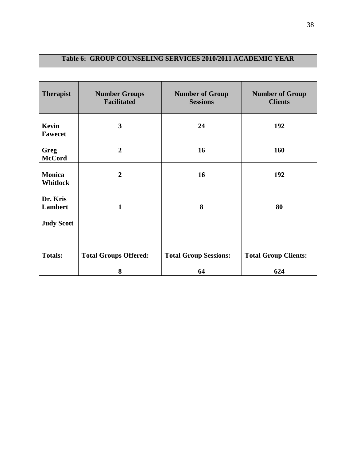# **Table 6: GROUP COUNSELING SERVICES 2010/2011 ACADEMIC YEAR**

| <b>Therapist</b>                 | <b>Number Groups</b><br><b>Facilitated</b> | <b>Number of Group</b><br><b>Sessions</b> | <b>Number of Group</b><br><b>Clients</b> |
|----------------------------------|--------------------------------------------|-------------------------------------------|------------------------------------------|
| Kevin<br><b>Fawecet</b>          | $\overline{\mathbf{3}}$                    | 24                                        | 192                                      |
| Greg<br><b>McCord</b>            | $\overline{2}$                             | 16                                        | 160                                      |
| <b>Monica</b><br><b>Whitlock</b> | $\overline{2}$                             | 16                                        | 192                                      |
| Dr. Kris<br><b>Lambert</b>       | $\mathbf{1}$                               | 8                                         | 80                                       |
| <b>Judy Scott</b>                |                                            |                                           |                                          |
| <b>Totals:</b>                   | <b>Total Groups Offered:</b>               | <b>Total Group Sessions:</b>              | <b>Total Group Clients:</b>              |
|                                  | 8                                          | 64                                        | 624                                      |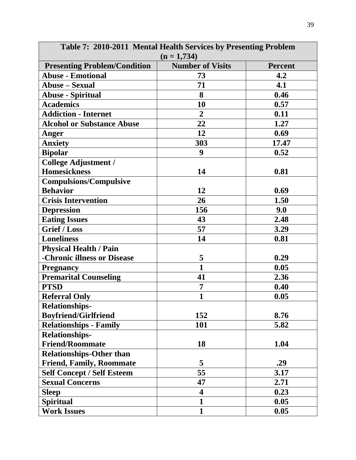| Table 7: 2010-2011 Mental Health Services by Presenting Problem<br>$(n = 1,734)$ |                         |                |  |
|----------------------------------------------------------------------------------|-------------------------|----------------|--|
| <b>Presenting Problem/Condition</b>                                              | <b>Number of Visits</b> | <b>Percent</b> |  |
| <b>Abuse - Emotional</b>                                                         | 73                      | 4.2            |  |
| <b>Abuse – Sexual</b>                                                            | 71                      | 4.1            |  |
| <b>Abuse - Spiritual</b>                                                         | 8                       | 0.46           |  |
| <b>Academics</b>                                                                 | 10                      | 0.57           |  |
| <b>Addiction - Internet</b>                                                      | $\overline{2}$          | 0.11           |  |
| <b>Alcohol or Substance Abuse</b>                                                | 22                      | 1.27           |  |
| Anger                                                                            | 12                      | 0.69           |  |
| <b>Anxiety</b>                                                                   | 303                     | 17.47          |  |
| <b>Bipolar</b>                                                                   | 9                       | 0.52           |  |
| <b>College Adjustment /</b>                                                      |                         |                |  |
| <b>Homesickness</b>                                                              | 14                      | 0.81           |  |
| <b>Compulsions/Compulsive</b>                                                    |                         |                |  |
| <b>Behavior</b>                                                                  | 12                      | 0.69           |  |
| <b>Crisis Intervention</b>                                                       | 26                      | 1.50           |  |
| <b>Depression</b>                                                                | 156                     | 9.0            |  |
| <b>Eating Issues</b>                                                             | 43                      | 2.48           |  |
| <b>Grief / Loss</b>                                                              | 57                      | 3.29           |  |
| <b>Loneliness</b>                                                                | 14                      | 0.81           |  |
| <b>Physical Health / Pain</b>                                                    |                         |                |  |
| -Chronic illness or Disease                                                      | 5                       | 0.29           |  |
| <b>Pregnancy</b>                                                                 | $\mathbf{1}$            | 0.05           |  |
| <b>Premarital Counseling</b>                                                     | 41                      | 2.36           |  |
| <b>PTSD</b>                                                                      | 7                       | 0.40           |  |
| <b>Referral Only</b>                                                             | $\mathbf{1}$            | 0.05           |  |
| <b>Relationships-</b>                                                            |                         |                |  |
| <b>Boyfriend/Girlfriend</b>                                                      | 152                     | 8.76           |  |
| <b>Relationships - Family</b>                                                    | 101                     | 5.82           |  |
| <b>Relationships-</b>                                                            |                         |                |  |
| <b>Friend/Roommate</b>                                                           | 18                      | 1.04           |  |
| <b>Relationships-Other than</b>                                                  |                         |                |  |
| <b>Friend, Family, Roommate</b>                                                  | 5                       | .29            |  |
| <b>Self Concept / Self Esteem</b>                                                | 55                      | 3.17           |  |
| <b>Sexual Concerns</b>                                                           | 47                      | 2.71           |  |
| <b>Sleep</b>                                                                     | 4                       | 0.23           |  |
| <b>Spiritual</b>                                                                 | $\mathbf{1}$            | 0.05           |  |
| <b>Work Issues</b>                                                               | $\mathbf{1}$            | 0.05           |  |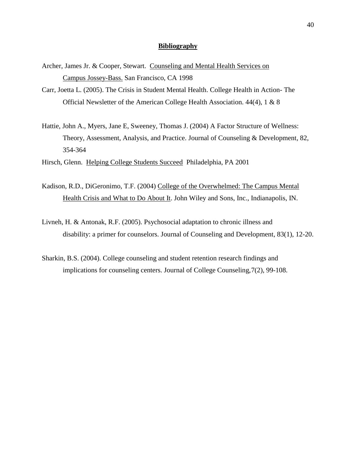#### **Bibliography**

- Archer, James Jr. & Cooper, Stewart. Counseling and Mental Health Services on Campus Jossey-Bass. San Francisco, CA 1998
- Carr, Joetta L. (2005). The Crisis in Student Mental Health. College Health in Action- The Official Newsletter of the American College Health Association. 44(4), 1 & 8
- Hattie, John A., Myers, Jane E, Sweeney, Thomas J. (2004) A Factor Structure of Wellness: Theory, Assessment, Analysis, and Practice. Journal of Counseling & Development, 82, 354-364

Hirsch, Glenn. Helping College Students Succeed Philadelphia, PA 2001

- Kadison, R.D., DiGeronimo, T.F. (2004) College of the Overwhelmed: The Campus Mental Health Crisis and What to Do About It. John Wiley and Sons, Inc., Indianapolis, IN.
- Livneh, H. & Antonak, R.F. (2005). Psychosocial adaptation to chronic illness and disability: a primer for counselors. Journal of Counseling and Development, 83(1), 12-20.
- Sharkin, B.S. (2004). College counseling and student retention research findings and implications for counseling centers. Journal of College Counseling,7(2), 99-108.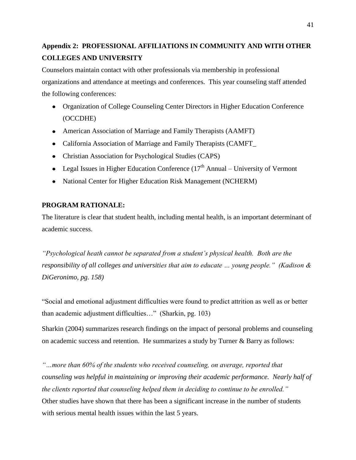# **Appendix 2: PROFESSIONAL AFFILIATIONS IN COMMUNITY AND WITH OTHER COLLEGES AND UNIVERSITY**

Counselors maintain contact with other professionals via membership in professional organizations and attendance at meetings and conferences. This year counseling staff attended the following conferences:

- Organization of College Counseling Center Directors in Higher Education Conference (OCCDHE)
- American Association of Marriage and Family Therapists (AAMFT)
- California Association of Marriage and Family Therapists (CAMFT\_
- Christian Association for Psychological Studies (CAPS)
- Legal Issues in Higher Education Conference  $(17<sup>th</sup>$  Annual University of Vermont
- National Center for Higher Education Risk Management (NCHERM)

# **PROGRAM RATIONALE:**

The literature is clear that student health, including mental health, is an important determinant of academic success.

*"Psychological heath cannot be separated from a student's physical health. Both are the responsibility of all colleges and universities that aim to educate … young people." (Kadison & DiGeronimo, pg. 158)*

"Social and emotional adjustment difficulties were found to predict attrition as well as or better than academic adjustment difficulties…" (Sharkin, pg. 103)

Sharkin (2004) summarizes research findings on the impact of personal problems and counseling on academic success and retention. He summarizes a study by Turner & Barry as follows:

*"…more than 60% of the students who received counseling, on average, reported that counseling was helpful in maintaining or improving their academic performance. Nearly half of the clients reported that counseling helped them in deciding to continue to be enrolled."* Other studies have shown that there has been a significant increase in the number of students with serious mental health issues within the last 5 years.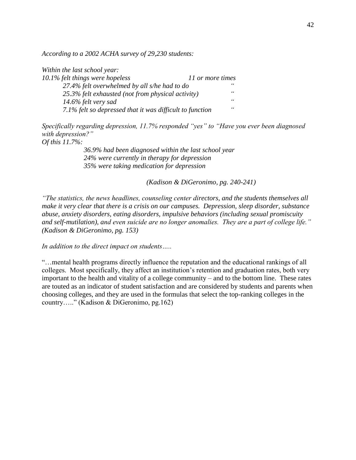*According to a 2002 ACHA survey of 29,230 students:*

| Within the last school year:                             |                  |
|----------------------------------------------------------|------------------|
| 10.1% felt things were hopeless                          | 11 or more times |
| 27.4% felt overwhelmed by all s/he had to do             | 66               |
| 25.3% felt exhausted (not from physical activity)        | $\epsilon$       |
| 14.6% felt very sad                                      | $\epsilon$       |
| 7.1% felt so depressed that it was difficult to function | $\epsilon$       |

*Specifically regarding depression, 11.7% responded "yes" to "Have you ever been diagnosed with depression?"*

*Of this 11.7%:*

*36.9% had been diagnosed within the last school year 24% were currently in therapy for depression 35% were taking medication for depression*

*(Kadison & DiGeronimo, pg. 240-241)*

*"The statistics, the news headlines, counseling center directors, and the students themselves all make it very clear that there is a crisis on our campuses. Depression, sleep disorder, substance abuse, anxiety disorders, eating disorders, impulsive behaviors (including sexual promiscuity and self-mutilation), and even suicide are no longer anomalies. They are a part of college life." (Kadison & DiGeronimo, pg. 153)*

*In addition to the direct impact on students…..*

"…mental health programs directly influence the reputation and the educational rankings of all colleges. Most specifically, they affect an institution's retention and graduation rates, both very important to the health and vitality of a college community – and to the bottom line. These rates are touted as an indicator of student satisfaction and are considered by students and parents when choosing colleges, and they are used in the formulas that select the top-ranking colleges in the country….." (Kadison & DiGeronimo, pg.162)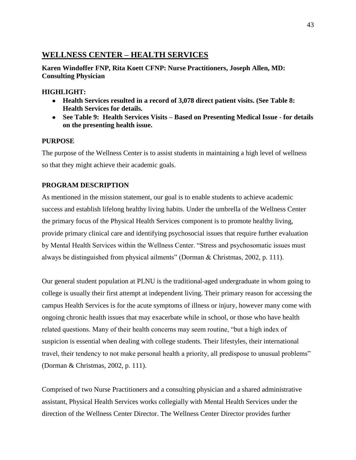# **WELLNESS CENTER – HEALTH SERVICES**

**Karen Windoffer FNP, Rita Koett CFNP: Nurse Practitioners, Joseph Allen, MD: Consulting Physician**

# **HIGHLIGHT:**

- **Health Services resulted in a record of 3,078 direct patient visits. (See Table 8: Health Services for details.**
- **See Table 9: Health Services Visits – Based on Presenting Medical Issue - for details on the presenting health issue.**

# **PURPOSE**

The purpose of the Wellness Center is to assist students in maintaining a high level of wellness so that they might achieve their academic goals.

# **PROGRAM DESCRIPTION**

As mentioned in the mission statement, our goal is to enable students to achieve academic success and establish lifelong healthy living habits. Under the umbrella of the Wellness Center the primary focus of the Physical Health Services component is to promote healthy living, provide primary clinical care and identifying psychosocial issues that require further evaluation by Mental Health Services within the Wellness Center. "Stress and psychosomatic issues must always be distinguished from physical ailments" (Dorman & Christmas, 2002, p. 111).

Our general student population at PLNU is the traditional-aged undergraduate in whom going to college is usually their first attempt at independent living. Their primary reason for accessing the campus Health Services is for the acute symptoms of illness or injury, however many come with ongoing chronic health issues that may exacerbate while in school, or those who have health related questions. Many of their health concerns may seem routine, "but a high index of suspicion is essential when dealing with college students. Their lifestyles, their international travel, their tendency to not make personal health a priority, all predispose to unusual problems" (Dorman & Christmas, 2002, p. 111).

Comprised of two Nurse Practitioners and a consulting physician and a shared administrative assistant, Physical Health Services works collegially with Mental Health Services under the direction of the Wellness Center Director. The Wellness Center Director provides further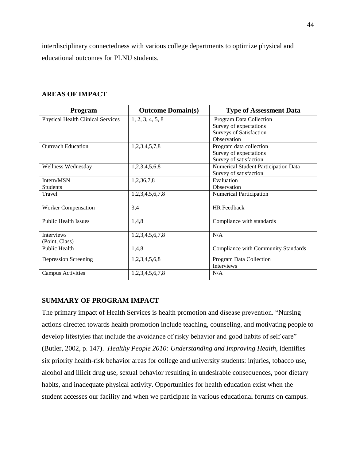interdisciplinary connectedness with various college departments to optimize physical and educational outcomes for PLNU students.

| Program                                  | <b>Outcome Domain(s)</b> | <b>Type of Assessment Data</b>       |
|------------------------------------------|--------------------------|--------------------------------------|
| <b>Physical Health Clinical Services</b> | 1, 2, 3, 4, 5, 8         | Program Data Collection              |
|                                          |                          | Survey of expectations               |
|                                          |                          | <b>Surveys of Satisfaction</b>       |
|                                          |                          | Observation                          |
| <b>Outreach Education</b>                | 1,2,3,4,5,7,8            | Program data collection              |
|                                          |                          | Survey of expectations               |
|                                          |                          | Survey of satisfaction               |
| Wellness Wednesday                       | 1,2,3,4,5,6,8            | Numerical Student Participation Data |
|                                          |                          | Survey of satisfaction               |
| Intern/MSN                               | 1,2,36,7,8               | Evaluation                           |
| <b>Students</b>                          |                          | Observation                          |
| Travel                                   | 1,2,3,4,5,6,7,8          | Numerical Participation              |
| <b>Worker Compensation</b>               | 3,4                      | <b>HR</b> Feedback                   |
| <b>Public Health Issues</b>              | 1,4,8                    | Compliance with standards            |
| <b>Interviews</b>                        | 1,2,3,4,5,6,7,8          | N/A                                  |
| (Point, Class)                           |                          |                                      |
| <b>Public Health</b>                     | 1,4,8                    | Compliance with Community Standards  |
| Depression Screening                     | 1,2,3,4,5,6,8            | Program Data Collection              |
|                                          |                          | <b>Interviews</b>                    |
| <b>Campus Activities</b>                 | 1,2,3,4,5,6,7,8          | N/A                                  |

# **AREAS OF IMPACT**

# **SUMMARY OF PROGRAM IMPACT**

The primary impact of Health Services is health promotion and disease prevention. "Nursing actions directed towards health promotion include teaching, counseling, and motivating people to develop lifestyles that include the avoidance of risky behavior and good habits of self care" (Butler, 2002, p. 147). *Healthy People 2010: Understanding and Improving Health*, identifies six priority health-risk behavior areas for college and university students: injuries, tobacco use, alcohol and illicit drug use, sexual behavior resulting in undesirable consequences, poor dietary habits, and inadequate physical activity. Opportunities for health education exist when the student accesses our facility and when we participate in various educational forums on campus.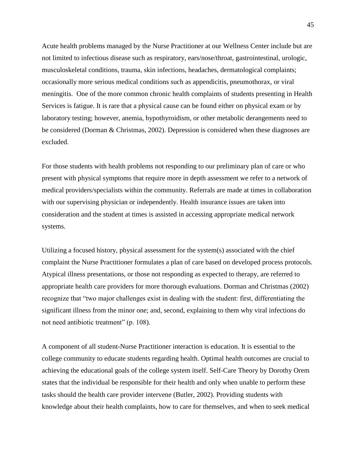Acute health problems managed by the Nurse Practitioner at our Wellness Center include but are not limited to infectious disease such as respiratory, ears/nose/throat, gastrointestinal, urologic, musculoskeletal conditions, trauma, skin infections, headaches, dermatological complaints; occasionally more serious medical conditions such as appendicitis, pneumothorax, or viral meningitis. One of the more common chronic health complaints of students presenting in Health Services is fatigue. It is rare that a physical cause can be found either on physical exam or by laboratory testing; however, anemia, hypothyroidism, or other metabolic derangements need to be considered (Dorman & Christmas, 2002). Depression is considered when these diagnoses are excluded.

For those students with health problems not responding to our preliminary plan of care or who present with physical symptoms that require more in depth assessment we refer to a network of medical providers/specialists within the community. Referrals are made at times in collaboration with our supervising physician or independently. Health insurance issues are taken into consideration and the student at times is assisted in accessing appropriate medical network systems.

Utilizing a focused history, physical assessment for the system(s) associated with the chief complaint the Nurse Practitioner formulates a plan of care based on developed process protocols. Atypical illness presentations, or those not responding as expected to therapy, are referred to appropriate health care providers for more thorough evaluations. Dorman and Christmas (2002) recognize that "two major challenges exist in dealing with the student: first, differentiating the significant illness from the minor one; and, second, explaining to them why viral infections do not need antibiotic treatment" (p. 108).

A component of all student-Nurse Practitioner interaction is education. It is essential to the college community to educate students regarding health. Optimal health outcomes are crucial to achieving the educational goals of the college system itself. Self-Care Theory by Dorothy Orem states that the individual be responsible for their health and only when unable to perform these tasks should the health care provider intervene (Butler, 2002). Providing students with knowledge about their health complaints, how to care for themselves, and when to seek medical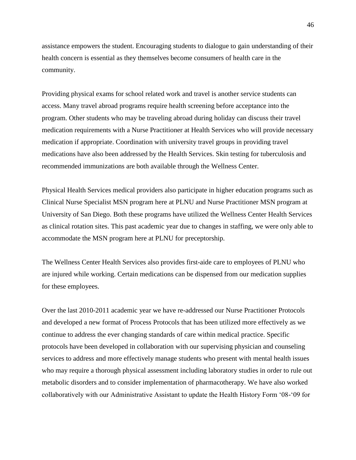assistance empowers the student. Encouraging students to dialogue to gain understanding of their health concern is essential as they themselves become consumers of health care in the community.

Providing physical exams for school related work and travel is another service students can access. Many travel abroad programs require health screening before acceptance into the program. Other students who may be traveling abroad during holiday can discuss their travel medication requirements with a Nurse Practitioner at Health Services who will provide necessary medication if appropriate. Coordination with university travel groups in providing travel medications have also been addressed by the Health Services. Skin testing for tuberculosis and recommended immunizations are both available through the Wellness Center.

Physical Health Services medical providers also participate in higher education programs such as Clinical Nurse Specialist MSN program here at PLNU and Nurse Practitioner MSN program at University of San Diego. Both these programs have utilized the Wellness Center Health Services as clinical rotation sites. This past academic year due to changes in staffing, we were only able to accommodate the MSN program here at PLNU for preceptorship.

The Wellness Center Health Services also provides first-aide care to employees of PLNU who are injured while working. Certain medications can be dispensed from our medication supplies for these employees.

Over the last 2010-2011 academic year we have re-addressed our Nurse Practitioner Protocols and developed a new format of Process Protocols that has been utilized more effectively as we continue to address the ever changing standards of care within medical practice. Specific protocols have been developed in collaboration with our supervising physician and counseling services to address and more effectively manage students who present with mental health issues who may require a thorough physical assessment including laboratory studies in order to rule out metabolic disorders and to consider implementation of pharmacotherapy. We have also worked collaboratively with our Administrative Assistant to update the Health History Form '08-'09 for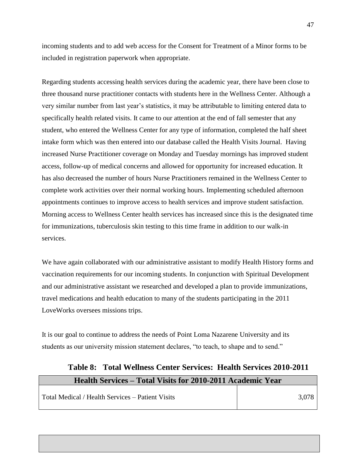incoming students and to add web access for the Consent for Treatment of a Minor forms to be included in registration paperwork when appropriate.

Regarding students accessing health services during the academic year, there have been close to three thousand nurse practitioner contacts with students here in the Wellness Center. Although a very similar number from last year's statistics, it may be attributable to limiting entered data to specifically health related visits. It came to our attention at the end of fall semester that any student, who entered the Wellness Center for any type of information, completed the half sheet intake form which was then entered into our database called the Health Visits Journal. Having increased Nurse Practitioner coverage on Monday and Tuesday mornings has improved student access, follow-up of medical concerns and allowed for opportunity for increased education. It has also decreased the number of hours Nurse Practitioners remained in the Wellness Center to complete work activities over their normal working hours. Implementing scheduled afternoon appointments continues to improve access to health services and improve student satisfaction. Morning access to Wellness Center health services has increased since this is the designated time for immunizations, tuberculosis skin testing to this time frame in addition to our walk-in services.

We have again collaborated with our administrative assistant to modify Health History forms and vaccination requirements for our incoming students. In conjunction with Spiritual Development and our administrative assistant we researched and developed a plan to provide immunizations, travel medications and health education to many of the students participating in the 2011 LoveWorks oversees missions trips.

It is our goal to continue to address the needs of Point Loma Nazarene University and its students as our university mission statement declares, "to teach, to shape and to send."

# **Table 8: Total Wellness Center Services: Health Services 2010-2011 Health Services – Total Visits for 2010-2011 Academic Year**

| Total Medical / Health Services – Patient Visits |  |
|--------------------------------------------------|--|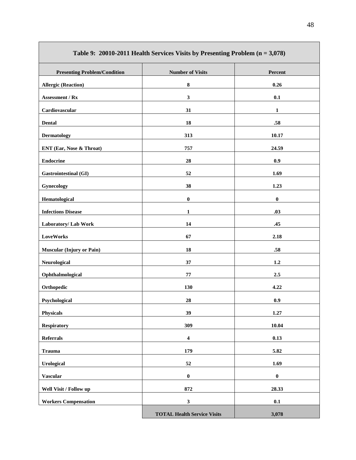| Table 9: 20010-2011 Health Services Visits by Presenting Problem $(n = 3,078)$ |                                    |              |  |
|--------------------------------------------------------------------------------|------------------------------------|--------------|--|
| <b>Presenting Problem/Condition</b>                                            | <b>Number of Visits</b>            | Percent      |  |
| <b>Allergic (Reaction)</b>                                                     | ${\bf 8}$                          | 0.26         |  |
| Assessment / Rx                                                                | $\mathbf{3}$                       | 0.1          |  |
| Cardiovascular                                                                 | 31                                 | $\mathbf{1}$ |  |
| <b>Dental</b>                                                                  | 18                                 | .58          |  |
| <b>Dermatology</b>                                                             | 313                                | 10.17        |  |
| ENT (Ear, Nose & Throat)                                                       | 757                                | 24.59        |  |
| <b>Endocrine</b>                                                               | 28                                 | 0.9          |  |
| <b>Gastrointestinal (GI)</b>                                                   | 52                                 | 1.69         |  |
| Gynecology                                                                     | 38                                 | 1.23         |  |
| Hematological                                                                  | $\boldsymbol{0}$                   | $\pmb{0}$    |  |
| <b>Infections Disease</b>                                                      | $\mathbf{1}$                       | .03          |  |
| Laboratory/ Lab Work                                                           | 14                                 | .45          |  |
| <b>LoveWorks</b>                                                               | 67                                 | 2.18         |  |
| <b>Muscular (Injury or Pain)</b>                                               | 18                                 | .58          |  |
| Neurological                                                                   | 37                                 | 1.2          |  |
| Ophthalmological                                                               | 77                                 | 2.5          |  |
| Orthopedic                                                                     | 130                                | 4.22         |  |
| Psychological                                                                  | 28                                 | 0.9          |  |
| <b>Physicals</b>                                                               | 39                                 | 1.27         |  |
| <b>Respiratory</b>                                                             | 309                                | 10.04        |  |
| <b>Referrals</b>                                                               | $\boldsymbol{4}$                   | 0.13         |  |
| <b>Trauma</b>                                                                  | 179                                | 5.82         |  |
| <b>Urological</b>                                                              | 52                                 | 1.69         |  |
| <b>Vascular</b>                                                                | $\pmb{0}$                          | $\pmb{0}$    |  |
| Well Visit / Follow up                                                         | 872                                | 28.33        |  |
| <b>Workers Compensation</b>                                                    | $\mathbf{3}$                       | 0.1          |  |
|                                                                                | <b>TOTAL Health Service Visits</b> | 3,078        |  |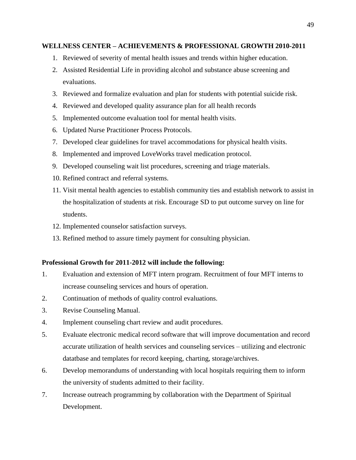# **WELLNESS CENTER – ACHIEVEMENTS & PROFESSIONAL GROWTH 2010-2011**

- 1. Reviewed of severity of mental health issues and trends within higher education.
- 2. Assisted Residential Life in providing alcohol and substance abuse screening and evaluations.
- 3. Reviewed and formalize evaluation and plan for students with potential suicide risk.
- 4. Reviewed and developed quality assurance plan for all health records
- 5. Implemented outcome evaluation tool for mental health visits.
- 6. Updated Nurse Practitioner Process Protocols.
- 7. Developed clear guidelines for travel accommodations for physical health visits.
- 8. Implemented and improved LoveWorks travel medication protocol.
- 9. Developed counseling wait list procedures, screening and triage materials.
- 10. Refined contract and referral systems.
- 11. Visit mental health agencies to establish community ties and establish network to assist in the hospitalization of students at risk. Encourage SD to put outcome survey on line for students.
- 12. Implemented counselor satisfaction surveys.
- 13. Refined method to assure timely payment for consulting physician.

#### **Professional Growth for 2011-2012 will include the following:**

- 1. Evaluation and extension of MFT intern program. Recruitment of four MFT interns to increase counseling services and hours of operation.
- 2. Continuation of methods of quality control evaluations.
- 3. Revise Counseling Manual.
- 4. Implement counseling chart review and audit procedures.
- 5. Evaluate electronic medical record software that will improve documentation and record accurate utilization of health services and counseling services – utilizing and electronic datatbase and templates for record keeping, charting, storage/archives.
- 6. Develop memorandums of understanding with local hospitals requiring them to inform the university of students admitted to their facility.
- 7. Increase outreach programming by collaboration with the Department of Spiritual Development.